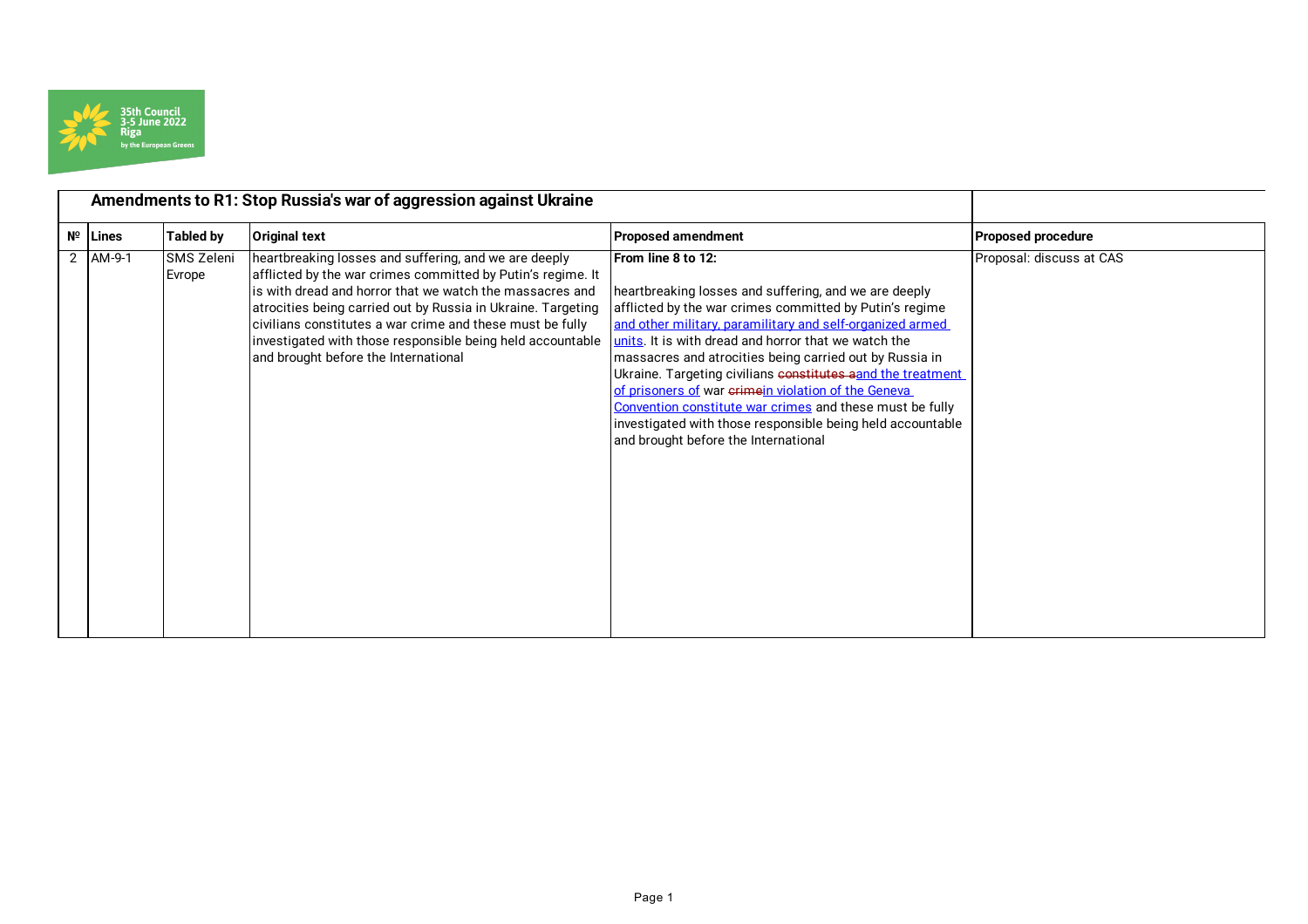

|            | Amendments to R1: Stop Russia's war of aggression against Ukraine |                                                                                                                                                                                                                                                                                                                                                                                                                     |                                                                                                                                                                                                                                                                                                                                                                                                                                                                                                                                                                                                                        |                           |
|------------|-------------------------------------------------------------------|---------------------------------------------------------------------------------------------------------------------------------------------------------------------------------------------------------------------------------------------------------------------------------------------------------------------------------------------------------------------------------------------------------------------|------------------------------------------------------------------------------------------------------------------------------------------------------------------------------------------------------------------------------------------------------------------------------------------------------------------------------------------------------------------------------------------------------------------------------------------------------------------------------------------------------------------------------------------------------------------------------------------------------------------------|---------------------------|
| Nº Lines   | <b>Tabled by</b>                                                  | <b>Original text</b>                                                                                                                                                                                                                                                                                                                                                                                                | <b>Proposed amendment</b>                                                                                                                                                                                                                                                                                                                                                                                                                                                                                                                                                                                              | <b>Proposed procedure</b> |
| $2$ AM-9-1 | SMS Zeleni<br>Evrope                                              | heartbreaking losses and suffering, and we are deeply<br>afflicted by the war crimes committed by Putin's regime. It<br>is with dread and horror that we watch the massacres and<br>atrocities being carried out by Russia in Ukraine. Targeting<br>civilians constitutes a war crime and these must be fully<br>investigated with those responsible being held accountable<br>and brought before the International | <b>IFrom line 8 to 12:</b><br>heartbreaking losses and suffering, and we are deeply<br>afflicted by the war crimes committed by Putin's regime<br>and other military, paramilitary and self-organized armed<br>units. It is with dread and horror that we watch the<br>massacres and atrocities being carried out by Russia in<br>Ukraine. Targeting civilians constitutes aand the treatment<br>of prisoners of war crimein violation of the Geneva<br>Convention constitute war crimes and these must be fully<br>investigated with those responsible being held accountable<br>and brought before the International | Proposal: discuss at CAS  |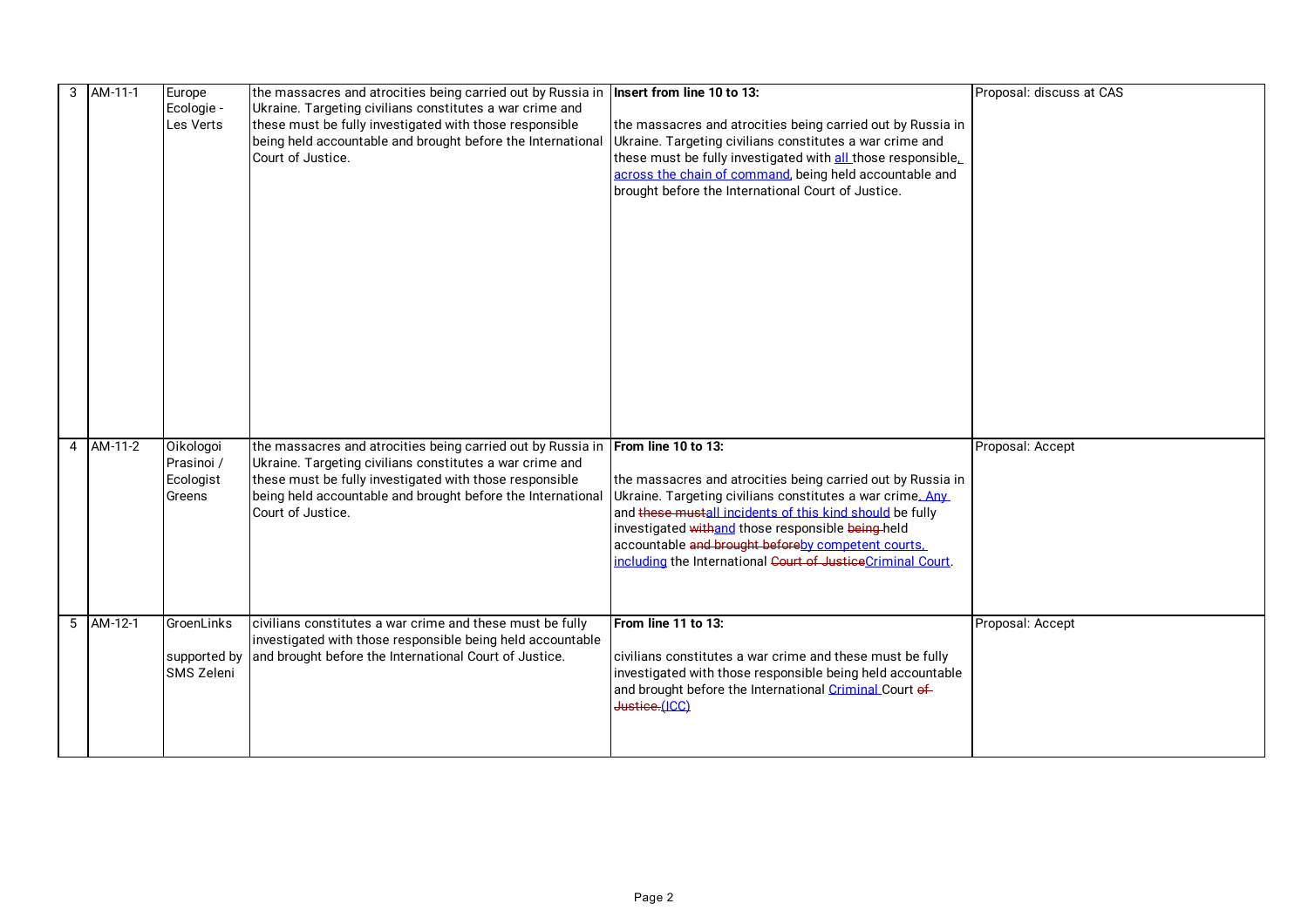|  | $3$ AM-11-1 | Europe     | the massacres and atrocities being carried out by Russia in         | Insert from line 10 to 13:                                   | Proposal: discuss at CAS |
|--|-------------|------------|---------------------------------------------------------------------|--------------------------------------------------------------|--------------------------|
|  |             | Ecologie - | Ukraine. Targeting civilians constitutes a war crime and            |                                                              |                          |
|  |             | Les Verts  | these must be fully investigated with those responsible             | the massacres and atrocities being carried out by Russia in  |                          |
|  |             |            | being held accountable and brought before the International         | Ukraine. Targeting civilians constitutes a war crime and     |                          |
|  |             |            | Court of Justice.                                                   | these must be fully investigated with all those responsible. |                          |
|  |             |            |                                                                     | across the chain of command, being held accountable and      |                          |
|  |             |            |                                                                     | brought before the International Court of Justice.           |                          |
|  |             |            |                                                                     |                                                              |                          |
|  |             |            |                                                                     |                                                              |                          |
|  |             |            |                                                                     |                                                              |                          |
|  |             |            |                                                                     |                                                              |                          |
|  |             |            |                                                                     |                                                              |                          |
|  |             |            |                                                                     |                                                              |                          |
|  |             |            |                                                                     |                                                              |                          |
|  |             |            |                                                                     |                                                              |                          |
|  |             |            |                                                                     |                                                              |                          |
|  |             |            |                                                                     |                                                              |                          |
|  |             |            |                                                                     |                                                              |                          |
|  |             |            |                                                                     |                                                              |                          |
|  |             |            |                                                                     |                                                              |                          |
|  |             |            |                                                                     |                                                              |                          |
|  |             |            |                                                                     |                                                              |                          |
|  | 4 AM-11-2   | Oikologoi  | the massacres and atrocities being carried out by Russia in         | From line 10 to 13:                                          | Proposal: Accept         |
|  |             | Prasinoi / | Ukraine. Targeting civilians constitutes a war crime and            |                                                              |                          |
|  |             | Ecologist  | these must be fully investigated with those responsible             | the massacres and atrocities being carried out by Russia in  |                          |
|  |             | Greens     | being held accountable and brought before the International         | Ukraine. Targeting civilians constitutes a war crime. Any    |                          |
|  |             |            | Court of Justice.                                                   | and these mustall incidents of this kind should be fully     |                          |
|  |             |            |                                                                     | investigated withand those responsible being-held            |                          |
|  |             |            |                                                                     | accountable and brought beforeby competent courts.           |                          |
|  |             |            |                                                                     | including the International Court of JusticeCriminal Court.  |                          |
|  |             |            |                                                                     |                                                              |                          |
|  |             |            |                                                                     |                                                              |                          |
|  | $5$ AM-12-1 | GroenLinks | civilians constitutes a war crime and these must be fully           | From line 11 to 13:                                          | Proposal: Accept         |
|  |             |            | investigated with those responsible being held accountable          |                                                              |                          |
|  |             |            | supported by and brought before the International Court of Justice. | civilians constitutes a war crime and these must be fully    |                          |
|  |             | SMS Zeleni |                                                                     | investigated with those responsible being held accountable   |                          |
|  |             |            |                                                                     | and brought before the International Criminal Court of       |                          |
|  |             |            |                                                                     | Justice.(ICC)                                                |                          |
|  |             |            |                                                                     |                                                              |                          |
|  |             |            |                                                                     |                                                              |                          |
|  |             |            |                                                                     |                                                              |                          |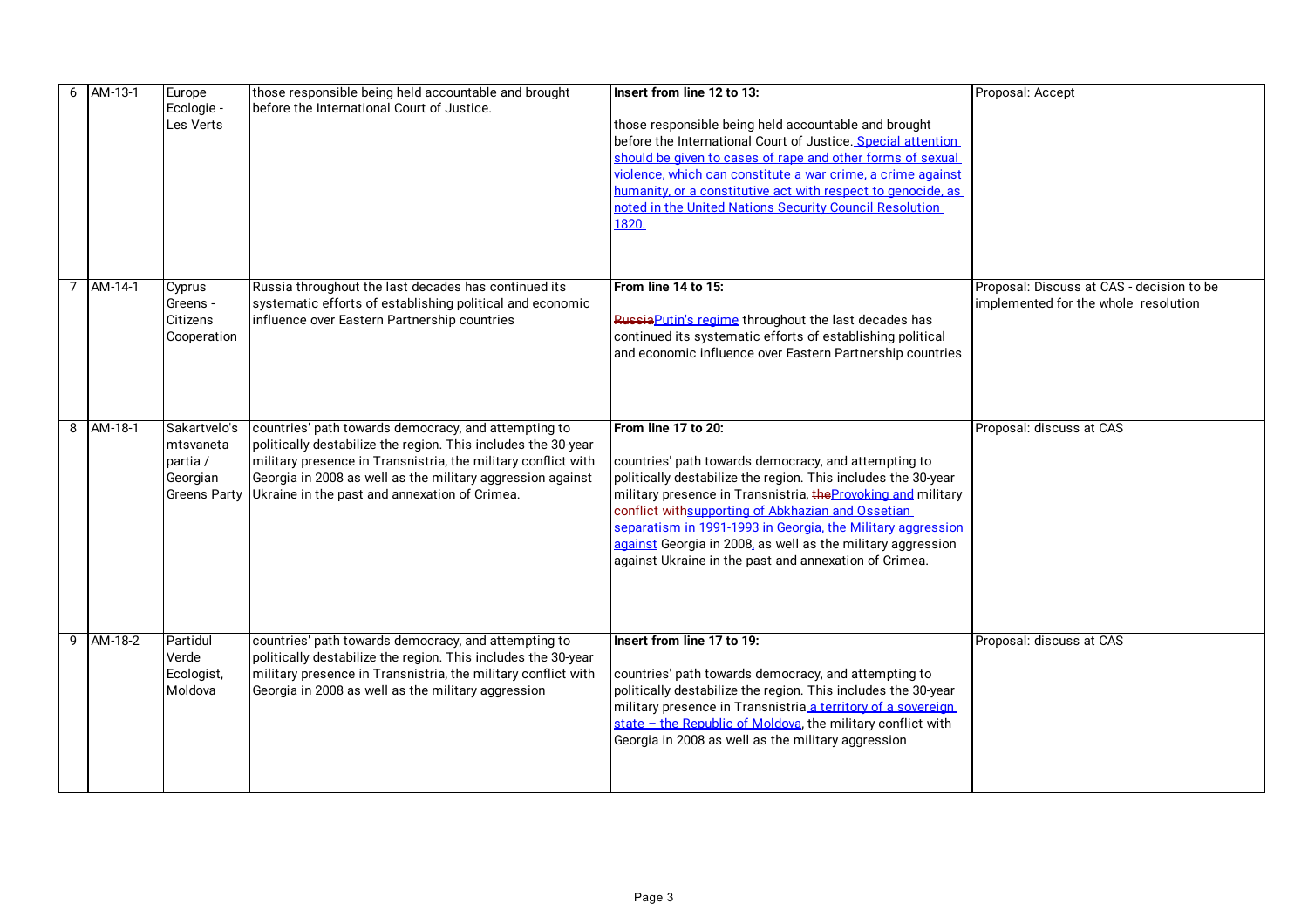| 6 | AM-13-1     | Europe<br>Ecologie -<br>Les Verts                 | those responsible being held accountable and brought<br>before the International Court of Justice.                                                                                                                                                                                                                 | Insert from line 12 to 13:<br>those responsible being held accountable and brought<br>before the International Court of Justice. Special attention<br>should be given to cases of rape and other forms of sexual<br>violence, which can constitute a war crime, a crime against<br>humanity, or a constitutive act with respect to genocide, as<br>noted in the United Nations Security Council Resolution<br>1820.                                       | Proposal: Accept                                                                  |
|---|-------------|---------------------------------------------------|--------------------------------------------------------------------------------------------------------------------------------------------------------------------------------------------------------------------------------------------------------------------------------------------------------------------|-----------------------------------------------------------------------------------------------------------------------------------------------------------------------------------------------------------------------------------------------------------------------------------------------------------------------------------------------------------------------------------------------------------------------------------------------------------|-----------------------------------------------------------------------------------|
|   | 7 AM-14-1   | Cyprus<br>Greens -<br>Citizens<br>Cooperation     | Russia throughout the last decades has continued its<br>systematic efforts of establishing political and economic<br>influence over Eastern Partnership countries                                                                                                                                                  | From line 14 to 15:<br>Russia Putin's regime throughout the last decades has<br>continued its systematic efforts of establishing political<br>and economic influence over Eastern Partnership countries                                                                                                                                                                                                                                                   | Proposal: Discuss at CAS - decision to be<br>implemented for the whole resolution |
| 8 | AM-18-1     | Sakartvelo's<br>mtsvaneta<br>partia /<br>Georgian | countries' path towards democracy, and attempting to<br>politically destabilize the region. This includes the 30-year<br>military presence in Transnistria, the military conflict with<br>Georgia in 2008 as well as the military aggression against<br>Greens Party Ukraine in the past and annexation of Crimea. | From line 17 to 20:<br>countries' path towards democracy, and attempting to<br>politically destabilize the region. This includes the 30-year<br>military presence in Transnistria, the Provoking and military<br>senflict withsupporting of Abkhazian and Ossetian<br>separatism in 1991-1993 in Georgia, the Military aggression<br>against Georgia in 2008, as well as the military aggression<br>against Ukraine in the past and annexation of Crimea. | Proposal: discuss at CAS                                                          |
|   | $9$ AM-18-2 | Partidul<br>Verde<br>Ecologist,<br>Moldova        | countries' path towards democracy, and attempting to<br>politically destabilize the region. This includes the 30-year<br>military presence in Transnistria, the military conflict with<br>Georgia in 2008 as well as the military aggression                                                                       | Insert from line 17 to 19:<br>countries' path towards democracy, and attempting to<br>politically destabilize the region. This includes the 30-year<br>military presence in Transnistria a territory of a sovereign<br>state - the Republic of Moldova, the military conflict with<br>Georgia in 2008 as well as the military aggression                                                                                                                  | Proposal: discuss at CAS                                                          |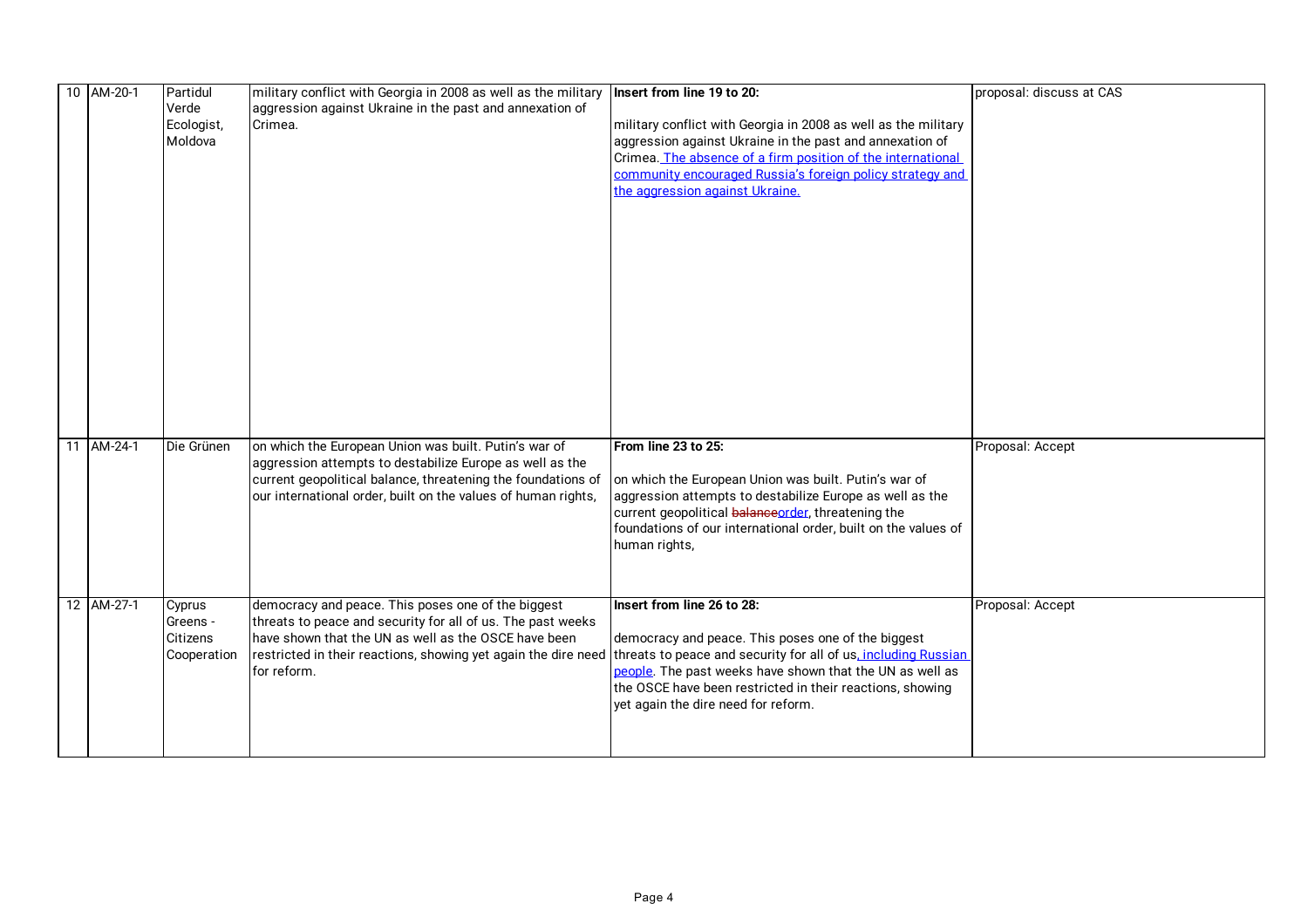| 10 AM-20-1 | Partidul    | military conflict with Georgia in 2008 as well as the military | Insert from line 19 to 20:                                     | proposal: discuss at CAS |
|------------|-------------|----------------------------------------------------------------|----------------------------------------------------------------|--------------------------|
|            | Verde       | aggression against Ukraine in the past and annexation of       |                                                                |                          |
|            | Ecologist,  | Crimea.                                                        | military conflict with Georgia in 2008 as well as the military |                          |
|            | Moldova     |                                                                | aggression against Ukraine in the past and annexation of       |                          |
|            |             |                                                                | Crimea. The absence of a firm position of the international    |                          |
|            |             |                                                                | community encouraged Russia's foreign policy strategy and      |                          |
|            |             |                                                                | the aggression against Ukraine.                                |                          |
|            |             |                                                                |                                                                |                          |
|            |             |                                                                |                                                                |                          |
|            |             |                                                                |                                                                |                          |
|            |             |                                                                |                                                                |                          |
|            |             |                                                                |                                                                |                          |
|            |             |                                                                |                                                                |                          |
|            |             |                                                                |                                                                |                          |
|            |             |                                                                |                                                                |                          |
|            |             |                                                                |                                                                |                          |
|            |             |                                                                |                                                                |                          |
|            |             |                                                                |                                                                |                          |
|            |             |                                                                |                                                                |                          |
|            |             |                                                                |                                                                |                          |
|            |             |                                                                |                                                                |                          |
| 11 AM-24-1 | Die Grünen  | on which the European Union was built. Putin's war of          | From line 23 to 25:                                            | Proposal: Accept         |
|            |             | aggression attempts to destabilize Europe as well as the       |                                                                |                          |
|            |             | current geopolitical balance, threatening the foundations of   | on which the European Union was built. Putin's war of          |                          |
|            |             | our international order, built on the values of human rights,  | aggression attempts to destabilize Europe as well as the       |                          |
|            |             |                                                                | current geopolitical balanceorder, threatening the             |                          |
|            |             |                                                                | foundations of our international order, built on the values of |                          |
|            |             |                                                                | human rights,                                                  |                          |
|            |             |                                                                |                                                                |                          |
|            |             |                                                                |                                                                |                          |
| 12 AM-27-1 | Cyprus      | democracy and peace. This poses one of the biggest             | Insert from line 26 to 28:                                     | Proposal: Accept         |
|            | Greens -    | threats to peace and security for all of us. The past weeks    |                                                                |                          |
|            | Citizens    | have shown that the UN as well as the OSCE have been           | democracy and peace. This poses one of the biggest             |                          |
|            | Cooperation | restricted in their reactions, showing yet again the dire need | threats to peace and security for all of us, including Russian |                          |
|            |             | for reform.                                                    | people. The past weeks have shown that the UN as well as       |                          |
|            |             |                                                                | the OSCE have been restricted in their reactions, showing      |                          |
|            |             |                                                                | yet again the dire need for reform.                            |                          |
|            |             |                                                                |                                                                |                          |
|            |             |                                                                |                                                                |                          |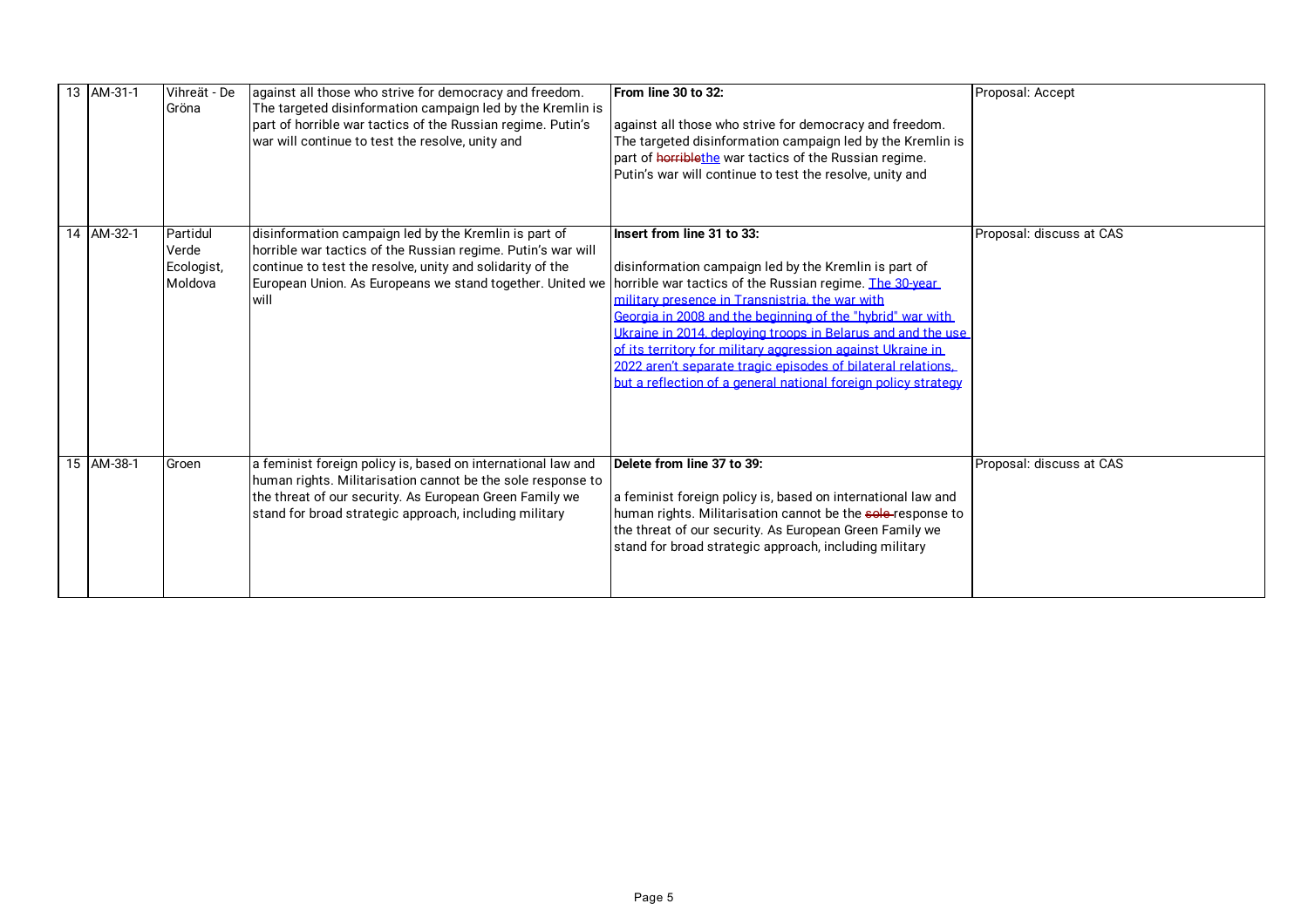|  | 13 AM-31-1 | Vihreät - De<br>Gröna                      | against all those who strive for democracy and freedom.<br>The targeted disinformation campaign led by the Kremlin is<br>part of horrible war tactics of the Russian regime. Putin's<br>war will continue to test the resolve, unity and                | From line 30 to 32:<br>against all those who strive for democracy and freedom.<br>The targeted disinformation campaign led by the Kremlin is<br>part of horriblethe war tactics of the Russian regime.<br>Putin's war will continue to test the resolve, unity and                                                                                                                                                                                                                                                               | Proposal: Accept         |
|--|------------|--------------------------------------------|---------------------------------------------------------------------------------------------------------------------------------------------------------------------------------------------------------------------------------------------------------|----------------------------------------------------------------------------------------------------------------------------------------------------------------------------------------------------------------------------------------------------------------------------------------------------------------------------------------------------------------------------------------------------------------------------------------------------------------------------------------------------------------------------------|--------------------------|
|  | 14 AM-32-1 | Partidul<br>Verde<br>Ecologist,<br>Moldova | disinformation campaign led by the Kremlin is part of<br>horrible war tactics of the Russian regime. Putin's war will<br>continue to test the resolve, unity and solidarity of the<br>European Union. As Europeans we stand together. United we<br>will | Insert from line 31 to 33:<br>disinformation campaign led by the Kremlin is part of<br>horrible war tactics of the Russian regime. The 30-year<br>military presence in Transnistria, the war with<br>Georgia in 2008 and the beginning of the "hybrid" war with<br>Ukraine in 2014, deploving troops in Belarus and and the use<br>of its territory for military aggression against Ukraine in<br>2022 aren't separate tragic episodes of bilateral relations.<br>but a reflection of a general national foreign policy strategy | Proposal: discuss at CAS |
|  | 15 AM-38-1 | Groen                                      | a feminist foreign policy is, based on international law and<br>human rights. Militarisation cannot be the sole response to<br>the threat of our security. As European Green Family we<br>stand for broad strategic approach, including military        | Delete from line 37 to 39:<br>a feminist foreign policy is, based on international law and<br>human rights. Militarisation cannot be the sole-response to<br>the threat of our security. As European Green Family we<br>stand for broad strategic approach, including military                                                                                                                                                                                                                                                   | Proposal: discuss at CAS |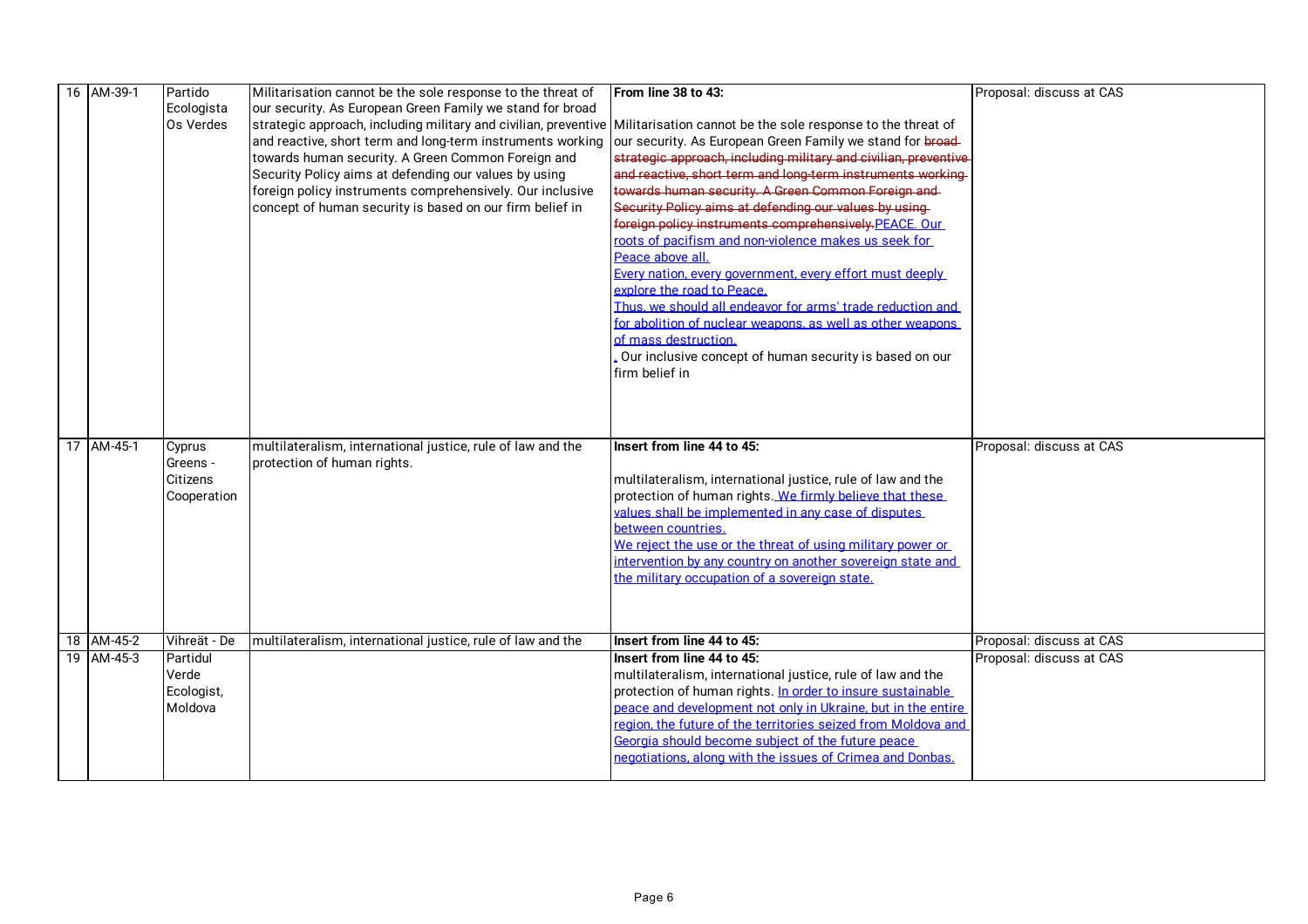| 16 AM-39-1 | Partido      | Militarisation cannot be the sole response to the threat of                                                                                                                               | From line 38 to 43:                                                                                                     | Proposal: discuss at CAS |
|------------|--------------|-------------------------------------------------------------------------------------------------------------------------------------------------------------------------------------------|-------------------------------------------------------------------------------------------------------------------------|--------------------------|
|            | Ecologista   | our security. As European Green Family we stand for broad                                                                                                                                 |                                                                                                                         |                          |
|            | Os Verdes    | strategic approach, including military and civilian, preventive Militarisation cannot be the sole response to the threat of<br>and reactive, short term and long-term instruments working | our security. As European Green Family we stand for broad                                                               |                          |
|            |              | towards human security. A Green Common Foreign and                                                                                                                                        | strategic approach, including military and civilian, preventive                                                         |                          |
|            |              | Security Policy aims at defending our values by using                                                                                                                                     | and reactive, short term and long-term instruments working                                                              |                          |
|            |              | foreign policy instruments comprehensively. Our inclusive                                                                                                                                 | towards human security. A Green Common Foreign and                                                                      |                          |
|            |              | concept of human security is based on our firm belief in                                                                                                                                  | Security Policy aims at defending our values by using-                                                                  |                          |
|            |              |                                                                                                                                                                                           | foreign policy instruments comprehensively.PEACE, Our                                                                   |                          |
|            |              |                                                                                                                                                                                           | roots of pacifism and non-violence makes us seek for                                                                    |                          |
|            |              |                                                                                                                                                                                           | Peace above all.                                                                                                        |                          |
|            |              |                                                                                                                                                                                           | Every nation, every government, every effort must deeply                                                                |                          |
|            |              |                                                                                                                                                                                           | explore the road to Peace.                                                                                              |                          |
|            |              |                                                                                                                                                                                           | Thus, we should all endeavor for arms' trade reduction and                                                              |                          |
|            |              |                                                                                                                                                                                           | for abolition of nuclear weapons, as well as other weapons                                                              |                          |
|            |              |                                                                                                                                                                                           | of mass destruction.                                                                                                    |                          |
|            |              |                                                                                                                                                                                           | Our inclusive concept of human security is based on our<br>firm belief in                                               |                          |
|            |              |                                                                                                                                                                                           |                                                                                                                         |                          |
|            |              |                                                                                                                                                                                           |                                                                                                                         |                          |
|            |              |                                                                                                                                                                                           |                                                                                                                         |                          |
| 17 AM-45-1 | Cyprus       | multilateralism, international justice, rule of law and the                                                                                                                               | Insert from line 44 to 45:                                                                                              | Proposal: discuss at CAS |
|            | Greens -     | protection of human rights.                                                                                                                                                               |                                                                                                                         |                          |
|            | Citizens     |                                                                                                                                                                                           | multilateralism, international justice, rule of law and the                                                             |                          |
|            | Cooperation  |                                                                                                                                                                                           | protection of human rights. We firmly believe that these                                                                |                          |
|            |              |                                                                                                                                                                                           | values shall be implemented in any case of disputes                                                                     |                          |
|            |              |                                                                                                                                                                                           | between countries.                                                                                                      |                          |
|            |              |                                                                                                                                                                                           | We reject the use or the threat of using military power or                                                              |                          |
|            |              |                                                                                                                                                                                           | intervention by any country on another sovereign state and                                                              |                          |
|            |              |                                                                                                                                                                                           | the military occupation of a sovereign state.                                                                           |                          |
|            |              |                                                                                                                                                                                           |                                                                                                                         |                          |
|            |              |                                                                                                                                                                                           |                                                                                                                         |                          |
| 18 AM-45-2 | Vihreät - De | multilateralism, international justice, rule of law and the                                                                                                                               | Insert from line 44 to 45:                                                                                              | Proposal: discuss at CAS |
| 19 AM-45-3 | Partidul     |                                                                                                                                                                                           | Insert from line 44 to 45:                                                                                              | Proposal: discuss at CAS |
|            | Verde        |                                                                                                                                                                                           | multilateralism, international justice, rule of law and the                                                             |                          |
|            | Ecologist,   |                                                                                                                                                                                           | protection of human rights. In order to insure sustainable                                                              |                          |
|            | Moldova      |                                                                                                                                                                                           | .<br>peace and development not only in Ukraine, but in the entire                                                       |                          |
|            |              |                                                                                                                                                                                           | .<br>region, the future of the territories seized from Moldova and<br>Georgia should become subject of the future peace |                          |
|            |              |                                                                                                                                                                                           | negotiations, along with the issues of Crimea and Donbas.                                                               |                          |
|            |              |                                                                                                                                                                                           |                                                                                                                         |                          |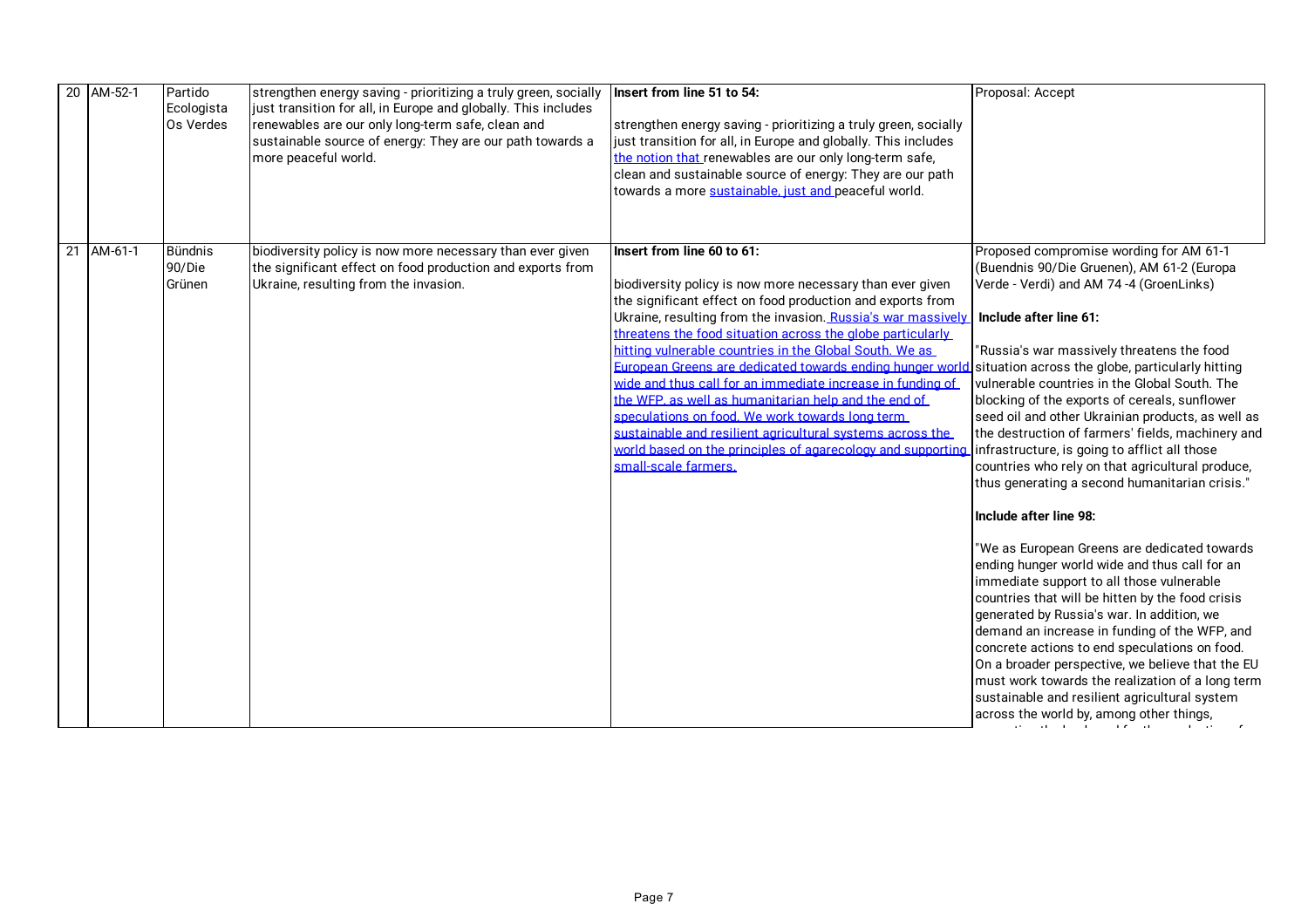| 20 AM-52-1 | Partido<br>Ecologista<br>Os Verdes | strengthen energy saving - prioritizing a truly green, socially<br>just transition for all, in Europe and globally. This includes<br>renewables are our only long-term safe, clean and<br>sustainable source of energy: They are our path towards a<br>more peaceful world. | Insert from line 51 to 54:<br>strengthen energy saving - prioritizing a truly green, socially<br>just transition for all, in Europe and globally. This includes<br>the notion that renewables are our only long-term safe,<br>clean and sustainable source of energy: They are our path<br>towards a more sustainable, just and peaceful world.                                                                                                                                                                                                                                                                                                                                                                                          | Proposal: Accept                                                                                                                                                                                                                                                                                                                                                                                                                                                                                                                                                                                                                                                                                                                                                                                                                                                                                                                                                                                                                                                                                                                                                                                                  |
|------------|------------------------------------|-----------------------------------------------------------------------------------------------------------------------------------------------------------------------------------------------------------------------------------------------------------------------------|------------------------------------------------------------------------------------------------------------------------------------------------------------------------------------------------------------------------------------------------------------------------------------------------------------------------------------------------------------------------------------------------------------------------------------------------------------------------------------------------------------------------------------------------------------------------------------------------------------------------------------------------------------------------------------------------------------------------------------------|-------------------------------------------------------------------------------------------------------------------------------------------------------------------------------------------------------------------------------------------------------------------------------------------------------------------------------------------------------------------------------------------------------------------------------------------------------------------------------------------------------------------------------------------------------------------------------------------------------------------------------------------------------------------------------------------------------------------------------------------------------------------------------------------------------------------------------------------------------------------------------------------------------------------------------------------------------------------------------------------------------------------------------------------------------------------------------------------------------------------------------------------------------------------------------------------------------------------|
| 21 AM-61-1 | <b>Bündnis</b><br>90/Die<br>Grünen | biodiversity policy is now more necessary than ever given<br>the significant effect on food production and exports from<br>Ukraine, resulting from the invasion.                                                                                                            | Insert from line 60 to 61:<br>biodiversity policy is now more necessary than ever given<br>the significant effect on food production and exports from<br>Ukraine, resulting from the invasion. Russia's war massively<br>threatens the food situation across the globe particularly<br>hitting vulnerable countries in the Global South. We as<br>European Greens are dedicated towards ending hunger world<br>wide and thus call for an immediate increase in funding of<br>the WFP, as well as humanitarian help and the end of<br>speculations on food. We work towards long term<br>sustainable and resilient agricultural systems across the<br>world based on the principles of agarecology and supporting<br>small-scale farmers. | Proposed compromise wording for AM 61-1<br>(Buendnis 90/Die Gruenen), AM 61-2 (Europa<br>Verde - Verdi) and AM 74 -4 (GroenLinks)<br>Include after line 61:<br>"Russia's war massively threatens the food<br>situation across the globe, particularly hitting<br>vulnerable countries in the Global South. The<br>blocking of the exports of cereals, sunflower<br>seed oil and other Ukrainian products, as well as<br>the destruction of farmers' fields, machinery and<br>infrastructure, is going to afflict all those<br>countries who rely on that agricultural produce,<br>thus generating a second humanitarian crisis."<br>Include after line 98:<br>"We as European Greens are dedicated towards<br>ending hunger world wide and thus call for an<br>immediate support to all those vulnerable<br>countries that will be hitten by the food crisis<br>generated by Russia's war. In addition, we<br>demand an increase in funding of the WFP, and<br>concrete actions to end speculations on food.<br>On a broader perspective, we believe that the EU<br>must work towards the realization of a long term<br>sustainable and resilient agricultural system<br>across the world by, among other things, |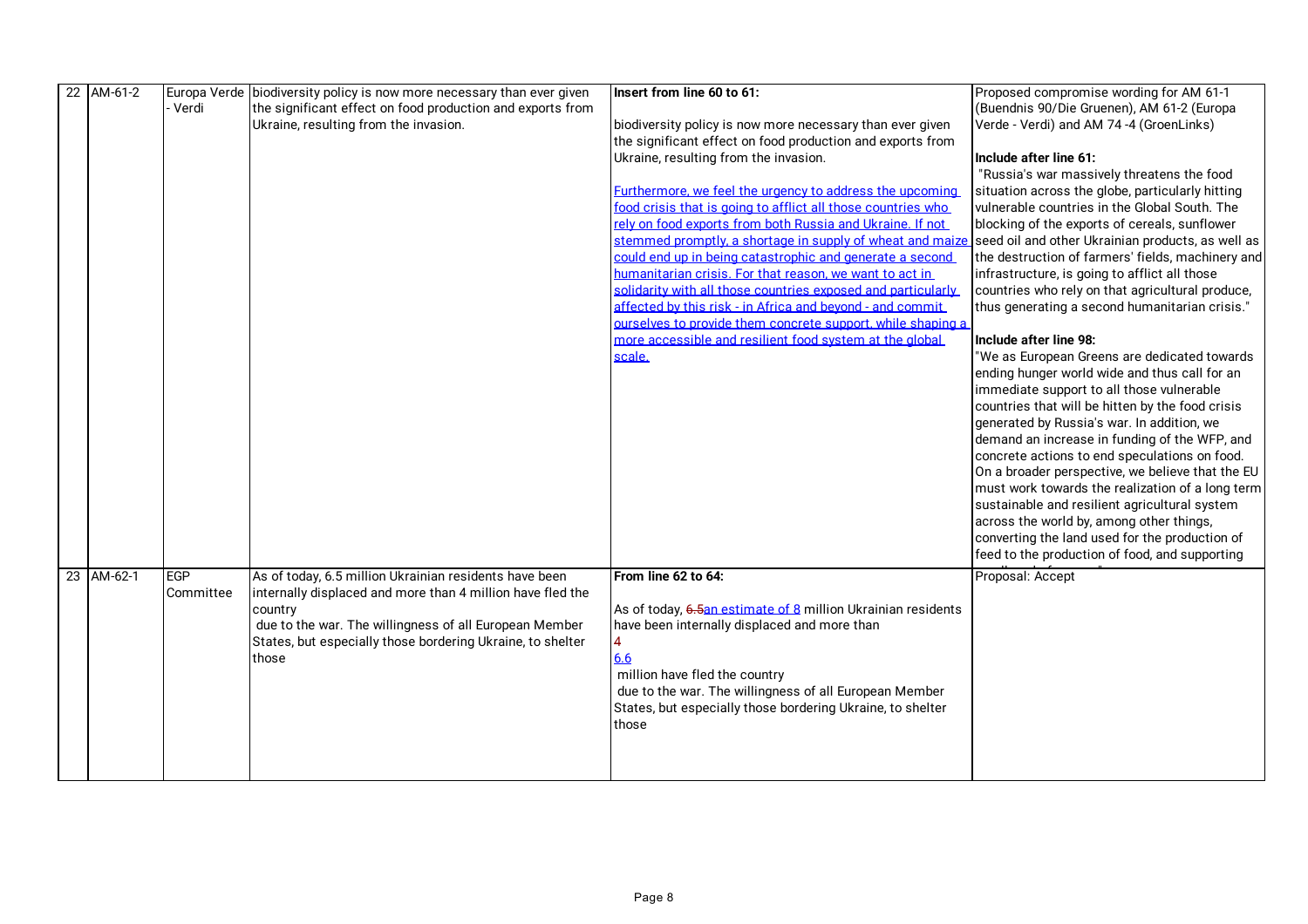| 22 AM-61-2 |           | Europa Verde biodiversity policy is now more necessary than ever given                                                        | Insert from line 60 to 61:                                                                                                                                                                                            | Proposed compromise wording for AM 61-1           |
|------------|-----------|-------------------------------------------------------------------------------------------------------------------------------|-----------------------------------------------------------------------------------------------------------------------------------------------------------------------------------------------------------------------|---------------------------------------------------|
|            | · Verdi   | the significant effect on food production and exports from                                                                    |                                                                                                                                                                                                                       | (Buendnis 90/Die Gruenen), AM 61-2 (Europa        |
|            |           | Ukraine, resulting from the invasion.                                                                                         | biodiversity policy is now more necessary than ever given                                                                                                                                                             | Verde - Verdi) and AM 74-4 (GroenLinks)           |
|            |           |                                                                                                                               | the significant effect on food production and exports from                                                                                                                                                            |                                                   |
|            |           |                                                                                                                               | Ukraine, resulting from the invasion.                                                                                                                                                                                 | Include after line 61:                            |
|            |           |                                                                                                                               |                                                                                                                                                                                                                       | "Russia's war massively threatens the food        |
|            |           |                                                                                                                               | Furthermore, we feel the urgency to address the upcoming                                                                                                                                                              | situation across the globe, particularly hitting  |
|            |           |                                                                                                                               | food crisis that is going to afflict all those countries who                                                                                                                                                          | vulnerable countries in the Global South. The     |
|            |           |                                                                                                                               | rely on food exports from both Russia and Ukraine. If not                                                                                                                                                             | blocking of the exports of cereals, sunflower     |
|            |           |                                                                                                                               | stemmed promptly, a shortage in supply of wheat and maize                                                                                                                                                             | seed oil and other Ukrainian products, as well as |
|            |           |                                                                                                                               | could end up in being catastrophic and generate a second                                                                                                                                                              | the destruction of farmers' fields, machinery and |
|            |           |                                                                                                                               | humanitarian crisis. For that reason, we want to act in                                                                                                                                                               | infrastructure, is going to afflict all those     |
|            |           |                                                                                                                               | solidarity with all those countries exposed and particularly                                                                                                                                                          | countries who rely on that agricultural produce,  |
|            |           |                                                                                                                               | affected by this risk - in Africa and bevond - and commit                                                                                                                                                             | thus generating a second humanitarian crisis."    |
|            |           |                                                                                                                               | ourselves to provide them concrete support, while shaping a                                                                                                                                                           |                                                   |
|            |           |                                                                                                                               | more accessible and resilient food system at the global                                                                                                                                                               | Include after line 98:                            |
|            |           |                                                                                                                               | scale.                                                                                                                                                                                                                | "We as European Greens are dedicated towards      |
|            |           |                                                                                                                               |                                                                                                                                                                                                                       | ending hunger world wide and thus call for an     |
|            |           |                                                                                                                               |                                                                                                                                                                                                                       | immediate support to all those vulnerable         |
|            |           |                                                                                                                               |                                                                                                                                                                                                                       | countries that will be hitten by the food crisis  |
|            |           |                                                                                                                               |                                                                                                                                                                                                                       | generated by Russia's war. In addition, we        |
|            |           |                                                                                                                               |                                                                                                                                                                                                                       | demand an increase in funding of the WFP, and     |
|            |           |                                                                                                                               |                                                                                                                                                                                                                       | concrete actions to end speculations on food.     |
|            |           |                                                                                                                               |                                                                                                                                                                                                                       | On a broader perspective, we believe that the EU  |
|            |           |                                                                                                                               |                                                                                                                                                                                                                       | must work towards the realization of a long term  |
|            |           |                                                                                                                               |                                                                                                                                                                                                                       | sustainable and resilient agricultural system     |
|            |           |                                                                                                                               |                                                                                                                                                                                                                       | across the world by, among other things,          |
|            |           |                                                                                                                               |                                                                                                                                                                                                                       | converting the land used for the production of    |
|            |           |                                                                                                                               |                                                                                                                                                                                                                       | feed to the production of food, and supporting    |
| 23 AM-62-1 | EGP       | As of today, 6.5 million Ukrainian residents have been                                                                        | From line 62 to 64:                                                                                                                                                                                                   | Proposal: Accept                                  |
|            | Committee | internally displaced and more than 4 million have fled the                                                                    |                                                                                                                                                                                                                       |                                                   |
|            |           | country                                                                                                                       | As of today, 6.5an estimate of 8 million Ukrainian residents                                                                                                                                                          |                                                   |
|            |           |                                                                                                                               |                                                                                                                                                                                                                       |                                                   |
|            |           |                                                                                                                               |                                                                                                                                                                                                                       |                                                   |
|            |           |                                                                                                                               |                                                                                                                                                                                                                       |                                                   |
|            |           |                                                                                                                               |                                                                                                                                                                                                                       |                                                   |
|            |           |                                                                                                                               |                                                                                                                                                                                                                       |                                                   |
|            |           |                                                                                                                               |                                                                                                                                                                                                                       |                                                   |
|            |           |                                                                                                                               |                                                                                                                                                                                                                       |                                                   |
|            |           |                                                                                                                               |                                                                                                                                                                                                                       |                                                   |
|            |           |                                                                                                                               |                                                                                                                                                                                                                       |                                                   |
|            |           | due to the war. The willingness of all European Member<br>States, but especially those bordering Ukraine, to shelter<br>those | have been internally displaced and more than<br>6.6<br>million have fled the country<br>due to the war. The willingness of all European Member<br>States, but especially those bordering Ukraine, to shelter<br>those |                                                   |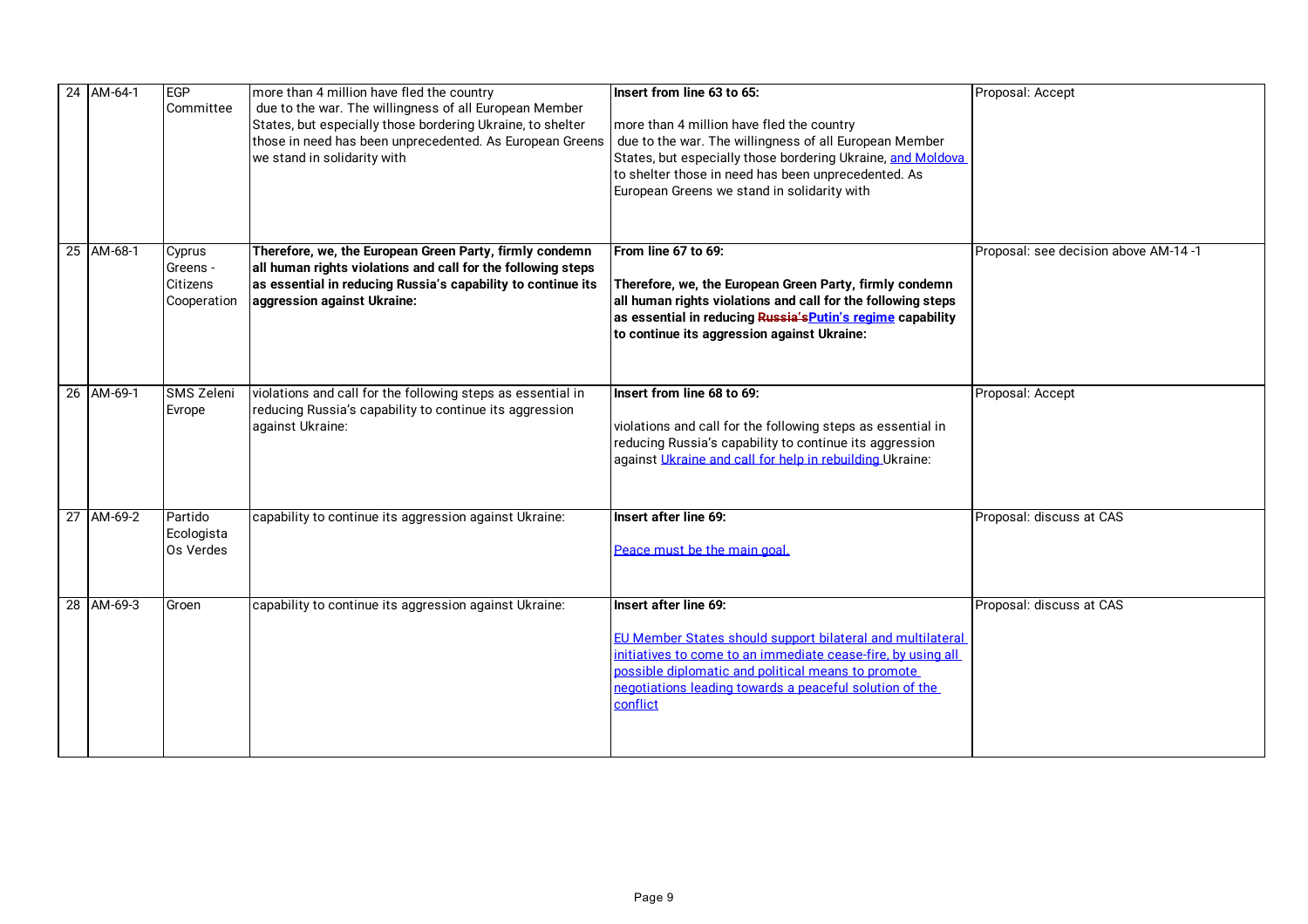| 24 AM-64-1 | EGP<br>Committee                              | more than 4 million have fled the country<br>due to the war. The willingness of all European Member<br>States, but especially those bordering Ukraine, to shelter<br>those in need has been unprecedented. As European Greens<br>we stand in solidarity with | Insert from line 63 to 65:<br>more than 4 million have fled the country<br>due to the war. The willingness of all European Member<br>States, but especially those bordering Ukraine, and Moldova<br>to shelter those in need has been unprecedented. As<br>European Greens we stand in solidarity with | Proposal: Accept                     |
|------------|-----------------------------------------------|--------------------------------------------------------------------------------------------------------------------------------------------------------------------------------------------------------------------------------------------------------------|--------------------------------------------------------------------------------------------------------------------------------------------------------------------------------------------------------------------------------------------------------------------------------------------------------|--------------------------------------|
| 25 AM-68-1 | Cyprus<br>Greens -<br>Citizens<br>Cooperation | Therefore, we, the European Green Party, firmly condemn<br>all human rights violations and call for the following steps<br>as essential in reducing Russia's capability to continue its<br>aggression against Ukraine:                                       | From line 67 to 69:<br>Therefore, we, the European Green Party, firmly condemn<br>all human rights violations and call for the following steps<br>as essential in reducing Russia's Putin's regime capability<br>to continue its aggression against Ukraine:                                           | Proposal: see decision above AM-14-1 |
| 26 AM-69-1 | SMS Zeleni<br>Evrope                          | violations and call for the following steps as essential in<br>reducing Russia's capability to continue its aggression<br>against Ukraine:                                                                                                                   | Insert from line 68 to 69:<br>violations and call for the following steps as essential in<br>reducing Russia's capability to continue its aggression<br>against Ukraine and call for help in rebuilding Ukraine:                                                                                       | Proposal: Accept                     |
| 27 AM-69-2 | Partido<br>Ecologista<br>Os Verdes            | capability to continue its aggression against Ukraine:                                                                                                                                                                                                       | Insert after line 69:<br>Peace must be the main goal.                                                                                                                                                                                                                                                  | Proposal: discuss at CAS             |
| 28 AM-69-3 | Groen                                         | capability to continue its aggression against Ukraine:                                                                                                                                                                                                       | Insert after line 69:<br>EU Member States should support bilateral and multilateral<br>initiatives to come to an immediate cease-fire, by using all<br>possible diplomatic and political means to promote<br>negotiations leading towards a peaceful solution of the<br>conflict                       | Proposal: discuss at CAS             |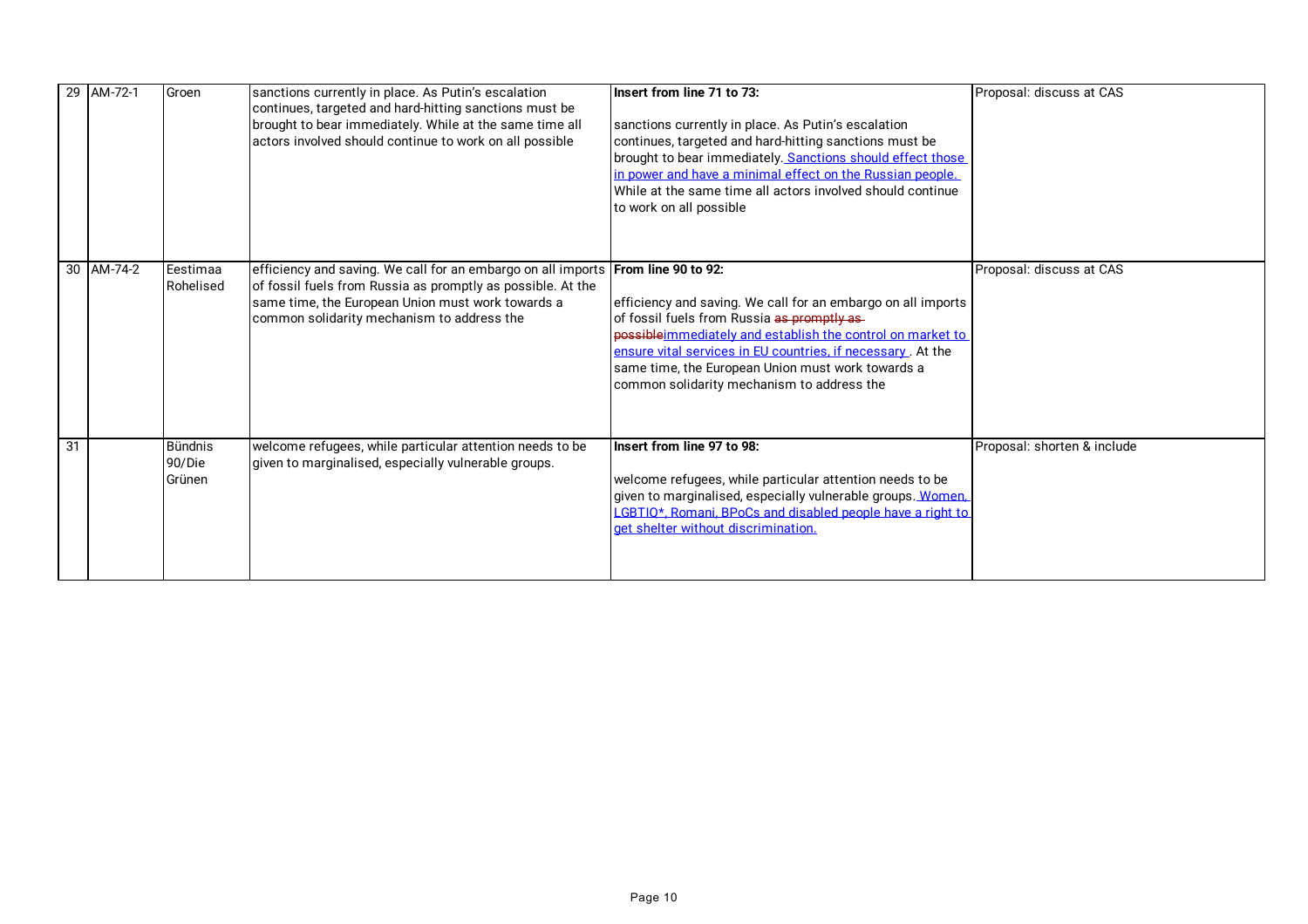|    | 29 AM-72-1 | Groen                              | sanctions currently in place. As Putin's escalation<br>continues, targeted and hard-hitting sanctions must be<br>brought to bear immediately. While at the same time all<br>actors involved should continue to work on all possible                | Insert from line 71 to 73:<br>sanctions currently in place. As Putin's escalation<br>continues, targeted and hard-hitting sanctions must be<br>brought to bear immediately. Sanctions should effect those<br>in power and have a minimal effect on the Russian people.<br>While at the same time all actors involved should continue<br>to work on all possible | Proposal: discuss at CAS    |
|----|------------|------------------------------------|----------------------------------------------------------------------------------------------------------------------------------------------------------------------------------------------------------------------------------------------------|-----------------------------------------------------------------------------------------------------------------------------------------------------------------------------------------------------------------------------------------------------------------------------------------------------------------------------------------------------------------|-----------------------------|
|    | 30 AM-74-2 | Eestimaa<br>Rohelised              | efficiency and saving. We call for an embargo on all imports From line 90 to 92:<br>of fossil fuels from Russia as promptly as possible. At the<br>same time, the European Union must work towards a<br>common solidarity mechanism to address the | efficiency and saving. We call for an embargo on all imports<br>of fossil fuels from Russia as promptly as-<br>possible immediately and establish the control on market to<br>ensure vital services in EU countries, if necessary. At the<br>same time, the European Union must work towards a<br>common solidarity mechanism to address the                    | Proposal: discuss at CAS    |
| 31 |            | <b>Bündnis</b><br>90/Die<br>Grünen | welcome refugees, while particular attention needs to be<br>given to marginalised, especially vulnerable groups.                                                                                                                                   | Insert from line 97 to 98:<br>welcome refugees, while particular attention needs to be<br>given to marginalised, especially vulnerable groups. Women.<br>CBTIO*. Romani. BPoCs and disabled people have a right to<br>get shelter without discrimination.                                                                                                       | Proposal: shorten & include |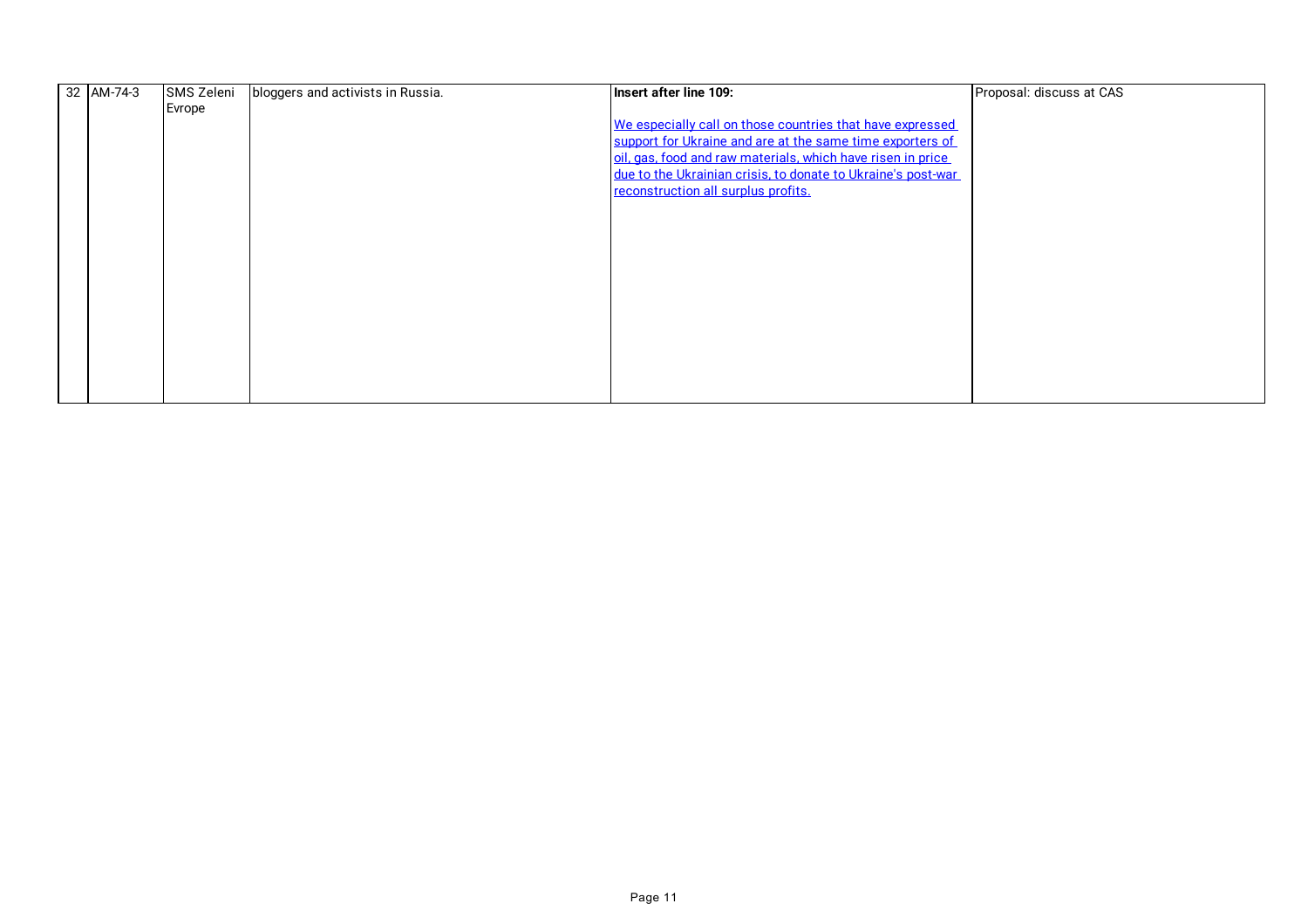| 32 AM-74-3 | SMS Zeleni | bloggers and activists in Russia. | Insert after line 109:                                       | Proposal: discuss at CAS |
|------------|------------|-----------------------------------|--------------------------------------------------------------|--------------------------|
|            | Evrope     |                                   |                                                              |                          |
|            |            |                                   | We especially call on those countries that have expressed    |                          |
|            |            |                                   | support for Ukraine and are at the same time exporters of    |                          |
|            |            |                                   | oil, gas, food and raw materials, which have risen in price  |                          |
|            |            |                                   | due to the Ukrainian crisis, to donate to Ukraine's post-war |                          |
|            |            |                                   | reconstruction all surplus profits.                          |                          |
|            |            |                                   |                                                              |                          |
|            |            |                                   |                                                              |                          |
|            |            |                                   |                                                              |                          |
|            |            |                                   |                                                              |                          |
|            |            |                                   |                                                              |                          |
|            |            |                                   |                                                              |                          |
|            |            |                                   |                                                              |                          |
|            |            |                                   |                                                              |                          |
|            |            |                                   |                                                              |                          |
|            |            |                                   |                                                              |                          |
|            |            |                                   |                                                              |                          |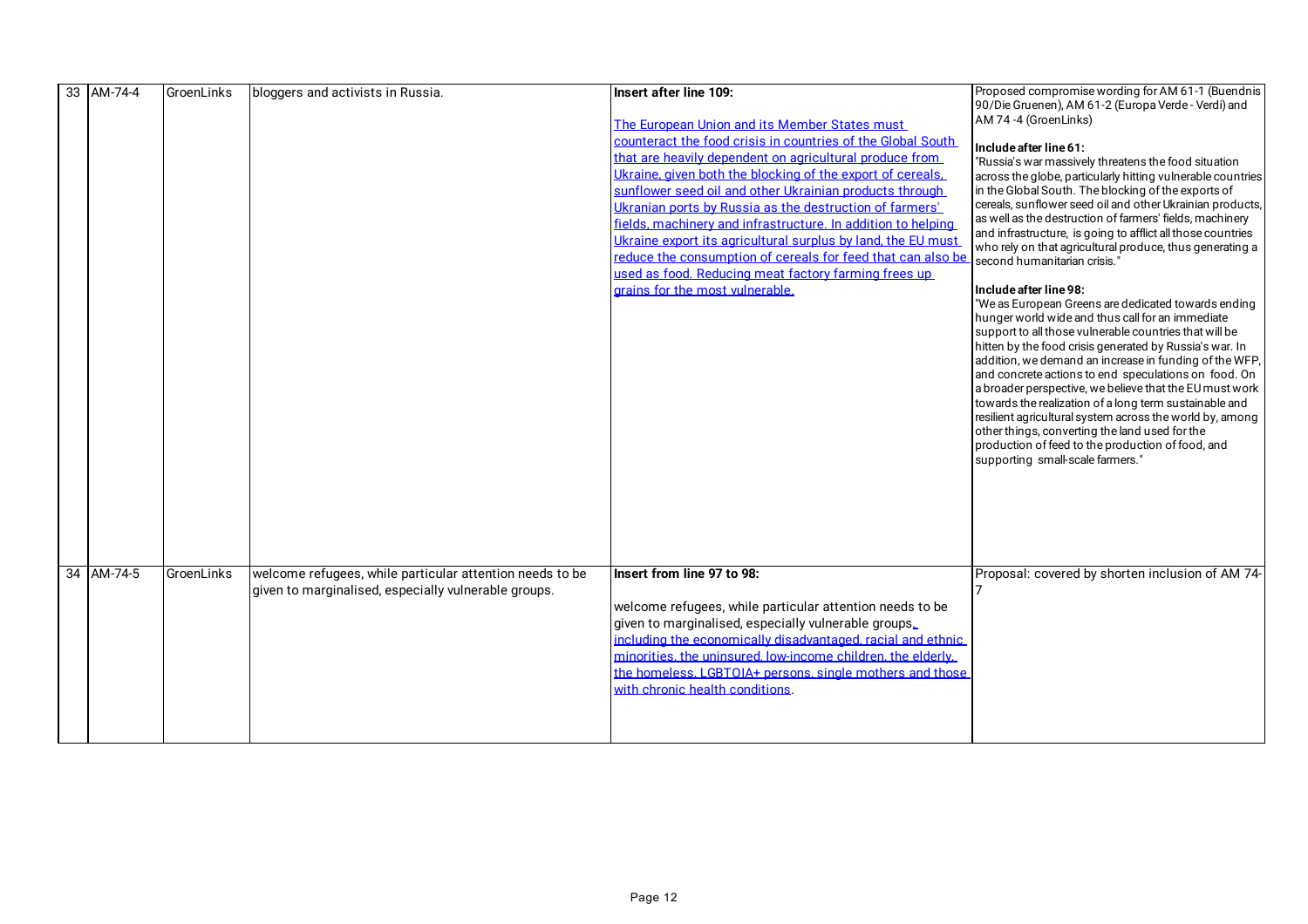| 33 AM-74-4 | GroenLinks | bloggers and activists in Russia.                                                                                | Insert after line 109:<br>The European Union and its Member States must<br>counteract the food crisis in countries of the Global South<br>that are heavily dependent on agricultural produce from<br>Ukraine, given both the blocking of the export of cereals.<br>sunflower seed oil and other Ukrainian products through<br>Ukranian ports by Russia as the destruction of farmers'<br>fields, machinery and infrastructure. In addition to helping<br>Ukraine export its agricultural surplus by land, the EU must<br>reduce the consumption of cereals for feed that can also be<br>used as food. Reducing meat factory farming frees up<br>grains for the most vulnerable. | Proposed compromise wording for AM 61-1 (Buendnis<br>90/Die Gruenen), AM 61-2 (Europa Verde - Verdi) and<br>AM 74 -4 (GroenLinks)<br>Include after line 61:<br>"Russia's war massively threatens the food situation<br>across the globe, particularly hitting vulnerable countries<br>in the Global South. The blocking of the exports of<br>cereals, sunflower seed oil and other Ukrainian products,<br>as well as the destruction of farmers' fields, machinery<br>and infrastructure, is going to afflict all those countries<br>who rely on that agricultural produce, thus generating a<br>second humanitarian crisis.<br>Include after line 98:<br>"We as European Greens are dedicated towards ending<br>hunger world wide and thus call for an immediate<br>support to all those vulnerable countries that will be<br>hitten by the food crisis generated by Russia's war. In<br>addition, we demand an increase in funding of the WFP,<br>and concrete actions to end speculations on food. On<br>a broader perspective, we believe that the EU must work<br>towards the realization of a long term sustainable and<br>resilient agricultural system across the world by, among<br>other things, converting the land used for the<br>production of feed to the production of food, and<br>supporting small-scale farmers." |
|------------|------------|------------------------------------------------------------------------------------------------------------------|---------------------------------------------------------------------------------------------------------------------------------------------------------------------------------------------------------------------------------------------------------------------------------------------------------------------------------------------------------------------------------------------------------------------------------------------------------------------------------------------------------------------------------------------------------------------------------------------------------------------------------------------------------------------------------|--------------------------------------------------------------------------------------------------------------------------------------------------------------------------------------------------------------------------------------------------------------------------------------------------------------------------------------------------------------------------------------------------------------------------------------------------------------------------------------------------------------------------------------------------------------------------------------------------------------------------------------------------------------------------------------------------------------------------------------------------------------------------------------------------------------------------------------------------------------------------------------------------------------------------------------------------------------------------------------------------------------------------------------------------------------------------------------------------------------------------------------------------------------------------------------------------------------------------------------------------------------------------------------------------------------------------------------|
| 34 AM-74-5 | GroenLinks | welcome refugees, while particular attention needs to be<br>given to marginalised, especially vulnerable groups. | Insert from line 97 to 98:<br>welcome refugees, while particular attention needs to be<br>given to marginalised, especially vulnerable groups.<br>including the economically disadvantaged, racial and ethnic<br>minorities, the uninsured, low-income children, the elderly.<br>the homeless. LGBTOIA+ persons, single mothers and those<br>with chronic health conditions.                                                                                                                                                                                                                                                                                                    | Proposal: covered by shorten inclusion of AM 74-                                                                                                                                                                                                                                                                                                                                                                                                                                                                                                                                                                                                                                                                                                                                                                                                                                                                                                                                                                                                                                                                                                                                                                                                                                                                                     |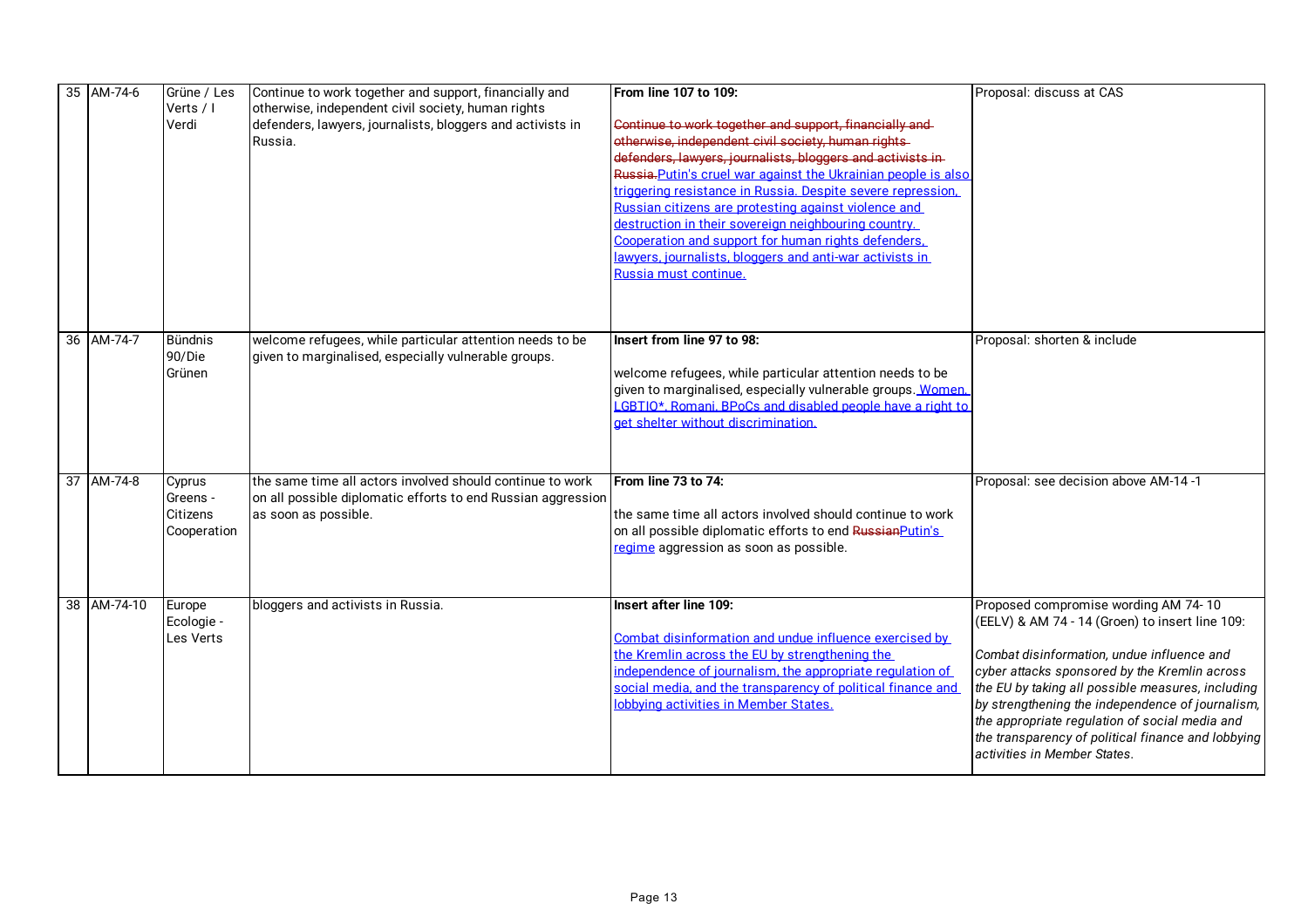| 35 AM-74-6  | Grüne / Les<br>Verts / I<br>Verdi             | Continue to work together and support, financially and<br>otherwise, independent civil society, human rights<br>defenders, lawyers, journalists, bloggers and activists in<br>Russia. | From line 107 to 109:<br>Continue to work together and support, financially and<br>otherwise, independent civil society, human rights-<br>defenders, lawyers, journalists, bloggers and activists in-<br>Russia-Putin's cruel war against the Ukrainian people is also<br>triggering resistance in Russia. Despite severe repression.<br>Russian citizens are protesting against violence and<br>destruction in their sovereign neighbouring country.<br>Cooperation and support for human rights defenders.<br>awvers, journalists, bloggers and anti-war activists in<br>Russia must continue. | Proposal: discuss at CAS                                                                                                                                                                                                                                                                                                                                                                                                                |
|-------------|-----------------------------------------------|---------------------------------------------------------------------------------------------------------------------------------------------------------------------------------------|--------------------------------------------------------------------------------------------------------------------------------------------------------------------------------------------------------------------------------------------------------------------------------------------------------------------------------------------------------------------------------------------------------------------------------------------------------------------------------------------------------------------------------------------------------------------------------------------------|-----------------------------------------------------------------------------------------------------------------------------------------------------------------------------------------------------------------------------------------------------------------------------------------------------------------------------------------------------------------------------------------------------------------------------------------|
| 36 AM-74-7  | <b>Bündnis</b><br>90/Die<br>Grünen            | welcome refugees, while particular attention needs to be<br>given to marginalised, especially vulnerable groups.                                                                      | Insert from line 97 to 98:<br>welcome refugees, while particular attention needs to be<br>given to marginalised, especially vulnerable groups. Women.<br>GBTIO*, Romani, BPoCs and disabled people have a right to<br>det shelter without discrimination.                                                                                                                                                                                                                                                                                                                                        | Proposal: shorten & include                                                                                                                                                                                                                                                                                                                                                                                                             |
| 37 AM-74-8  | Cyprus<br>Greens -<br>Citizens<br>Cooperation | the same time all actors involved should continue to work<br>on all possible diplomatic efforts to end Russian aggression<br>as soon as possible.                                     | From line 73 to 74:<br>the same time all actors involved should continue to work<br>on all possible diplomatic efforts to end Russian Putin's<br>regime aggression as soon as possible.                                                                                                                                                                                                                                                                                                                                                                                                          | Proposal: see decision above AM-14-1                                                                                                                                                                                                                                                                                                                                                                                                    |
| 38 AM-74-10 | Europe<br>Ecologie -<br>Les Verts             | bloggers and activists in Russia.                                                                                                                                                     | Insert after line 109:<br>Combat disinformation and undue influence exercised by<br>the Kremlin across the EU by strengthening the<br>ndependence of journalism, the appropriate regulation of<br>social media, and the transparency of political finance and<br>lobbving activities in Member States.                                                                                                                                                                                                                                                                                           | Proposed compromise wording AM 74-10<br>(EELV) & AM 74 - 14 (Groen) to insert line 109:<br>Combat disinformation, undue influence and<br>cyber attacks sponsored by the Kremlin across<br>the EU by taking all possible measures, including<br>by strengthening the independence of journalism,<br>the appropriate regulation of social media and<br>the transparency of political finance and lobbying<br>activities in Member States. |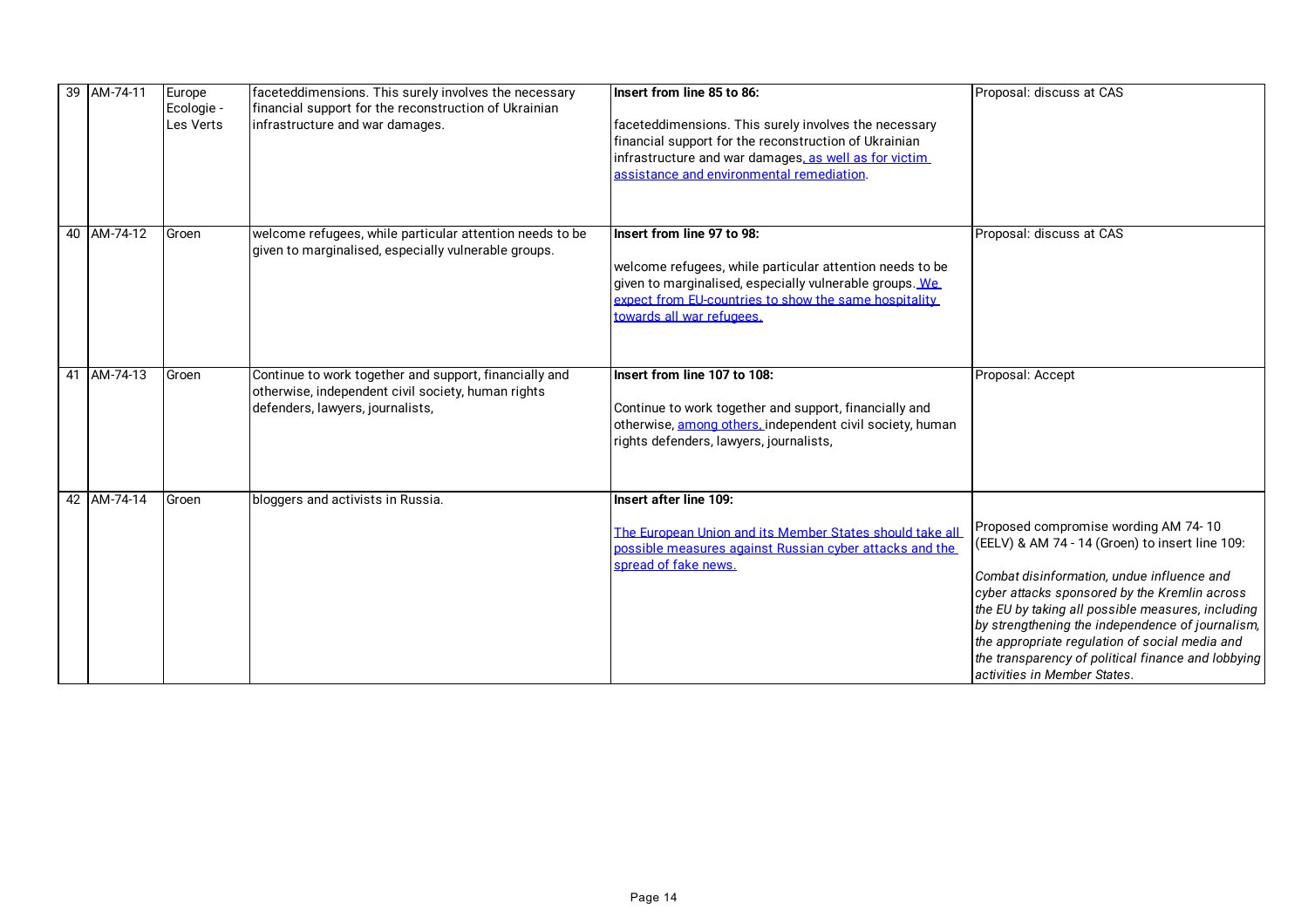| 39 AM-74-11 | Europe<br>Ecologie -<br>Les Verts | faceteddimensions. This surely involves the necessary<br>financial support for the reconstruction of Ukrainian<br>infrastructure and war damages. | Insert from line 85 to 86:<br>faceteddimensions. This surely involves the necessary<br>financial support for the reconstruction of Ukrainian<br>infrastructure and war damages, as well as for victim.<br>assistance and environmental remediation. | Proposal: discuss at CAS                                                                                                                                                                                                                                                                                                                                                                                                                |
|-------------|-----------------------------------|---------------------------------------------------------------------------------------------------------------------------------------------------|-----------------------------------------------------------------------------------------------------------------------------------------------------------------------------------------------------------------------------------------------------|-----------------------------------------------------------------------------------------------------------------------------------------------------------------------------------------------------------------------------------------------------------------------------------------------------------------------------------------------------------------------------------------------------------------------------------------|
| 40 AM-74-12 | Groen                             | welcome refugees, while particular attention needs to be<br>given to marginalised, especially vulnerable groups.                                  | Insert from line 97 to 98:<br>welcome refugees, while particular attention needs to be<br>given to marginalised, especially vulnerable groups. We<br>expect from EU-countries to show the same hospitality<br>towards all war refugees.             | Proposal: discuss at CAS                                                                                                                                                                                                                                                                                                                                                                                                                |
| 41 AM-74-13 | Groen                             | Continue to work together and support, financially and<br>otherwise, independent civil society, human rights<br>defenders, lawyers, journalists,  | Insert from line 107 to 108:<br>Continue to work together and support, financially and<br>otherwise, among others, independent civil society, human<br>rights defenders, lawyers, journalists,                                                      | Proposal: Accept                                                                                                                                                                                                                                                                                                                                                                                                                        |
| 42 AM-74-14 | Groen                             | bloggers and activists in Russia.                                                                                                                 | Insert after line 109:<br>The European Union and its Member States should take all<br>possible measures against Russian cyber attacks and the<br>spread of fake news.                                                                               | Proposed compromise wording AM 74-10<br>(EELV) & AM 74 - 14 (Groen) to insert line 109:<br>Combat disinformation, undue influence and<br>cyber attacks sponsored by the Kremlin across<br>the EU by taking all possible measures, including<br>by strengthening the independence of journalism,<br>the appropriate regulation of social media and<br>the transparency of political finance and lobbying<br>activities in Member States. |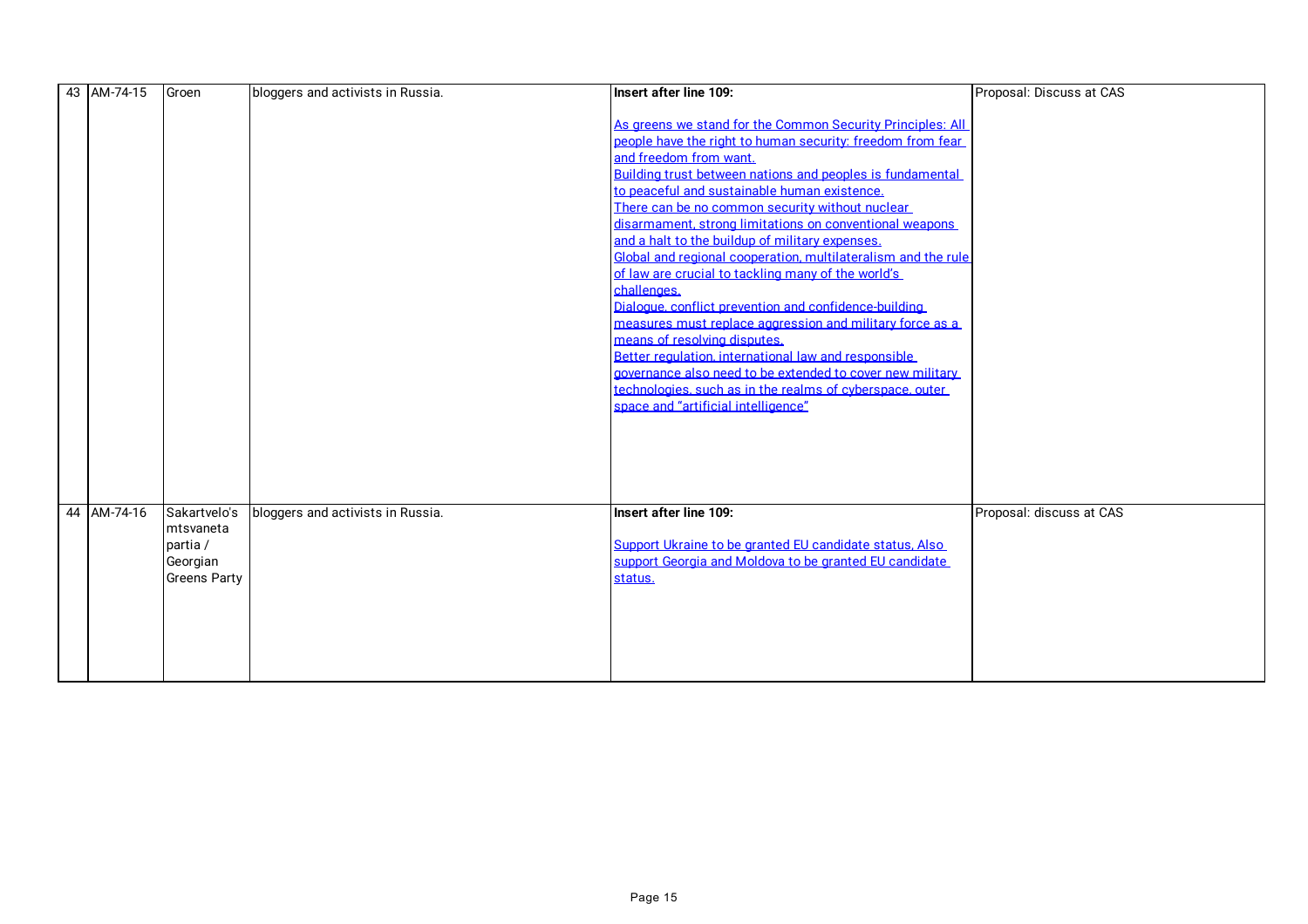| 43 AM-74-15 | Groen               | bloggers and activists in Russia. | Insert after line 109:                                        | Proposal: Discuss at CAS |
|-------------|---------------------|-----------------------------------|---------------------------------------------------------------|--------------------------|
|             |                     |                                   |                                                               |                          |
|             |                     |                                   | As greens we stand for the Common Security Principles: All    |                          |
|             |                     |                                   | people have the right to human security: freedom from fear    |                          |
|             |                     |                                   | and freedom from want.                                        |                          |
|             |                     |                                   | Building trust between nations and peoples is fundamental     |                          |
|             |                     |                                   | to peaceful and sustainable human existence.                  |                          |
|             |                     |                                   | There can be no common security without nuclear               |                          |
|             |                     |                                   | disarmament, strong limitations on conventional weapons       |                          |
|             |                     |                                   | and a halt to the buildup of military expenses.               |                          |
|             |                     |                                   | Global and regional cooperation, multilateralism and the rule |                          |
|             |                     |                                   | of law are crucial to tackling many of the world's            |                          |
|             |                     |                                   | challenges.                                                   |                          |
|             |                     |                                   | Dialogue, conflict prevention and confidence-building         |                          |
|             |                     |                                   | measures must replace aggression and military force as a      |                          |
|             |                     |                                   | means of resolving disputes.                                  |                          |
|             |                     |                                   | Better regulation, international law and responsible          |                          |
|             |                     |                                   | governance also need to be extended to cover new military     |                          |
|             |                     |                                   | technologies, such as in the realms of cyberspace, outer      |                          |
|             |                     |                                   | space and "artificial intelligence"                           |                          |
|             |                     |                                   |                                                               |                          |
|             |                     |                                   |                                                               |                          |
|             |                     |                                   |                                                               |                          |
|             |                     |                                   |                                                               |                          |
|             |                     |                                   |                                                               |                          |
| 44 AM-74-16 | Sakartvelo's        | bloggers and activists in Russia. | Insert after line 109:                                        | Proposal: discuss at CAS |
|             | mtsvaneta           |                                   |                                                               |                          |
|             | partia /            |                                   | Support Ukraine to be granted EU candidate status. Also       |                          |
|             | Georgian            |                                   | support Georgia and Moldova to be granted EU candidate        |                          |
|             | <b>Greens Party</b> |                                   | status.                                                       |                          |
|             |                     |                                   |                                                               |                          |
|             |                     |                                   |                                                               |                          |
|             |                     |                                   |                                                               |                          |
|             |                     |                                   |                                                               |                          |
|             |                     |                                   |                                                               |                          |
|             |                     |                                   |                                                               |                          |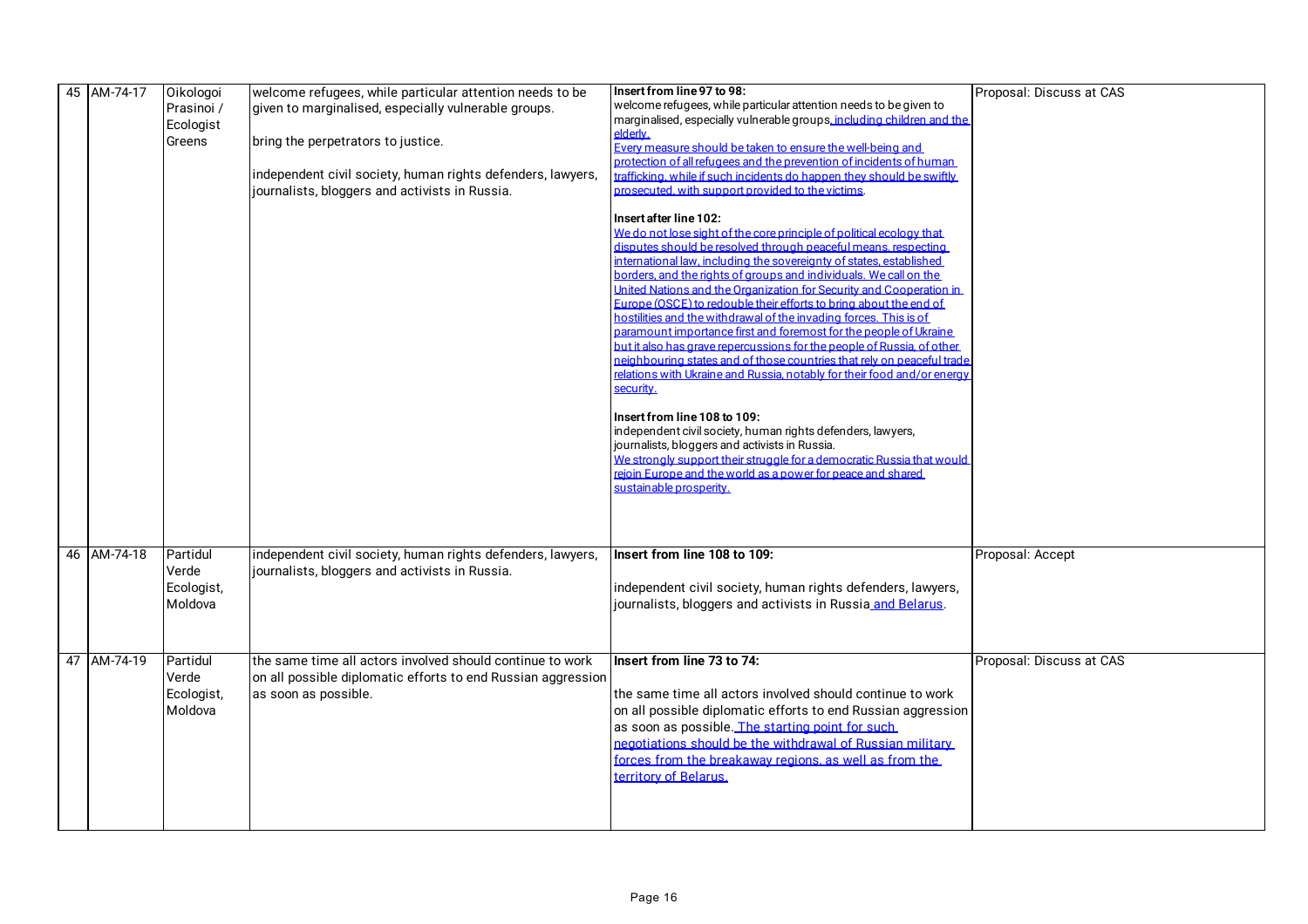| 45 AM-74-17 | Oikologoi  | welcome refugees, while particular attention needs to be     | Insert from line 97 to 98:                                                                                                             | Proposal: Discuss at CAS |
|-------------|------------|--------------------------------------------------------------|----------------------------------------------------------------------------------------------------------------------------------------|--------------------------|
|             | Prasinoi / | given to marginalised, especially vulnerable groups.         | welcome refugees, while particular attention needs to be given to                                                                      |                          |
|             | Ecologist  |                                                              | marginalised, especially vulnerable groups, including children and the                                                                 |                          |
|             |            |                                                              | elderly.                                                                                                                               |                          |
|             | Greens     | bring the perpetrators to justice.                           | Every measure should be taken to ensure the well-being and                                                                             |                          |
|             |            |                                                              | protection of all refugees and the prevention of incidents of human                                                                    |                          |
|             |            | independent civil society, human rights defenders, lawyers,  | rafficking, while if such incidents do happen they should be swiftly                                                                   |                          |
|             |            | journalists, bloggers and activists in Russia.               | prosecuted, with support provided to the victims.                                                                                      |                          |
|             |            |                                                              |                                                                                                                                        |                          |
|             |            |                                                              | Insert after line 102:                                                                                                                 |                          |
|             |            |                                                              | We do not lose sight of the core principle of political ecology that<br>disputes should be resolved through peaceful means, respecting |                          |
|             |            |                                                              | nternational law, including the sovereignty of states, established                                                                     |                          |
|             |            |                                                              | porders, and the rights of groups and individuals. We call on the                                                                      |                          |
|             |            |                                                              | United Nations and the Organization for Security and Cooperation in                                                                    |                          |
|             |            |                                                              | Europe (OSCE) to redouble their efforts to bring about the end of                                                                      |                          |
|             |            |                                                              | ostilities and the withdrawal of the invading forces. This is of                                                                       |                          |
|             |            |                                                              | paramount importance first and foremost for the people of Ukraine.                                                                     |                          |
|             |            |                                                              | but it also has grave repercussions for the people of Russia, of other                                                                 |                          |
|             |            |                                                              | eighbouring states and of those countries that rely on peaceful trade                                                                  |                          |
|             |            |                                                              | elations with Ukraine and Russia, notably for their food and/or energ                                                                  |                          |
|             |            |                                                              | security.                                                                                                                              |                          |
|             |            |                                                              |                                                                                                                                        |                          |
|             |            |                                                              | Insert from line 108 to 109:                                                                                                           |                          |
|             |            |                                                              | independent civil society, human rights defenders, lawyers,                                                                            |                          |
|             |            |                                                              | journalists, bloggers and activists in Russia.                                                                                         |                          |
|             |            |                                                              | We strongly support their struggle for a democratic Russia that would                                                                  |                          |
|             |            |                                                              | rejoin Europe and the world as a power for peace and shared                                                                            |                          |
|             |            |                                                              | sustainable prosperity.                                                                                                                |                          |
|             |            |                                                              |                                                                                                                                        |                          |
|             |            |                                                              |                                                                                                                                        |                          |
|             |            |                                                              |                                                                                                                                        |                          |
| 46 AM-74-18 | Partidul   | independent civil society, human rights defenders, lawyers,  | Insert from line 108 to 109:                                                                                                           | Proposal: Accept         |
|             | Verde      | journalists, bloggers and activists in Russia.               |                                                                                                                                        |                          |
|             | Ecologist, |                                                              | independent civil society, human rights defenders, lawyers,                                                                            |                          |
|             | Moldova    |                                                              | journalists, bloggers and activists in Russia and Belarus.                                                                             |                          |
|             |            |                                                              |                                                                                                                                        |                          |
|             |            |                                                              |                                                                                                                                        |                          |
|             |            |                                                              |                                                                                                                                        |                          |
| 47 AM-74-19 | Partidul   | the same time all actors involved should continue to work    | Insert from line 73 to 74:                                                                                                             | Proposal: Discuss at CAS |
|             | Verde      | on all possible diplomatic efforts to end Russian aggression |                                                                                                                                        |                          |
|             | Ecologist, | as soon as possible.                                         | the same time all actors involved should continue to work                                                                              |                          |
|             | Moldova    |                                                              | on all possible diplomatic efforts to end Russian aggression                                                                           |                          |
|             |            |                                                              | as soon as possible. The starting point for such                                                                                       |                          |
|             |            |                                                              |                                                                                                                                        |                          |
|             |            |                                                              | negotiations should be the withdrawal of Russian military                                                                              |                          |
|             |            |                                                              | forces from the breakaway regions, as well as from the                                                                                 |                          |
|             |            |                                                              | <b>Lerritory of Belarus.</b>                                                                                                           |                          |
|             |            |                                                              |                                                                                                                                        |                          |
|             |            |                                                              |                                                                                                                                        |                          |
|             |            |                                                              |                                                                                                                                        |                          |